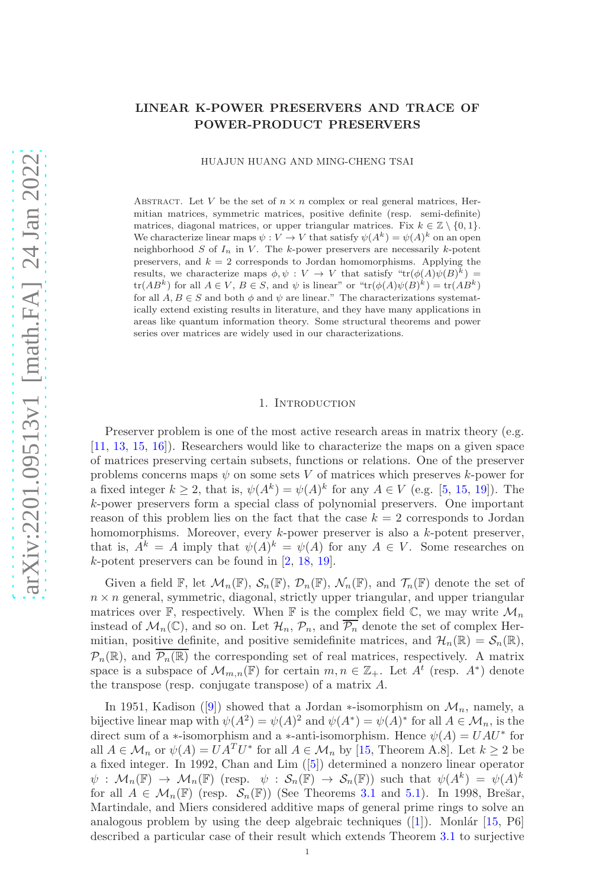# LINEAR K-POWER PRESERVERS AND TRACE OF POWER-PRODUCT PRESERVERS

HUAJUN HUANG AND MING-CHENG TSAI

ABSTRACT. Let V be the set of  $n \times n$  complex or real general matrices, Hermitian matrices, symmetric matrices, positive definite (resp. semi-definite) matrices, diagonal matrices, or upper triangular matrices. Fix  $k \in \mathbb{Z} \setminus \{0, 1\}$ . We characterize linear maps  $\psi: V \to V$  that satisfy  $\psi(A^k) = \psi(A)^k$  on an open neighborhood  $S$  of  $I_n$  in  $V$ . The k-power preservers are necessarily k-potent preservers, and  $k = 2$  corresponds to Jordan homomorphisms. Applying the results, we characterize maps  $\phi, \psi : V \to V$  that satisfy " $tr(\phi(A)\psi(B)^k)$  =  $\text{tr}(AB^k)$  for all  $A \in V$ ,  $B \in S$ , and  $\psi$  is linear" or " $\text{tr}(\phi(A)\psi(B)^k) = \text{tr}(AB^k)$ for all  $A, B \in S$  and both  $\phi$  and  $\psi$  are linear." The characterizations systematically extend existing results in literature, and they have many applications in areas like quantum information theory. Some structural theorems and power series over matrices are widely used in our characterizations.

#### 1. INTRODUCTION

Preserver problem is one of the most active research areas in matrix theory (e.g. [\[11,](#page-20-0) [13,](#page-20-1) [15,](#page-20-2) [16\]](#page-20-3)). Researchers would like to characterize the maps on a given space of matrices preserving certain subsets, functions or relations. One of the preserver problems concerns maps  $\psi$  on some sets V of matrices which preserves k-power for a fixed integer  $k \geq 2$ , that is,  $\psi(A^k) = \psi(A)^k$  for any  $A \in V$  (e.g. [\[5,](#page-20-4) [15,](#page-20-2) [19\]](#page-20-5)). The k-power preservers form a special class of polynomial preservers. One important reason of this problem lies on the fact that the case  $k = 2$  corresponds to Jordan homomorphisms. Moreover, every k-power preserver is also a k-potent preserver, that is,  $A^k = A$  imply that  $\psi(A)^k = \psi(A)$  for any  $A \in V$ . Some researches on k-potent preservers can be found in [\[2,](#page-20-6) [18,](#page-20-7) [19\]](#page-20-5).

Given a field  $\mathbb{F}$ , let  $\mathcal{M}_n(\mathbb{F})$ ,  $\mathcal{S}_n(\mathbb{F})$ ,  $\mathcal{D}_n(\mathbb{F})$ ,  $\mathcal{N}_n(\mathbb{F})$ , and  $\mathcal{T}_n(\mathbb{F})$  denote the set of  $n \times n$  general, symmetric, diagonal, strictly upper triangular, and upper triangular matrices over  $\mathbb{F}$ , respectively. When  $\mathbb{F}$  is the complex field  $\mathbb{C}$ , we may write  $\mathcal{M}_n$ instead of  $\mathcal{M}_n(\mathbb{C})$ , and so on. Let  $\mathcal{H}_n$ ,  $\mathcal{P}_n$ , and  $\overline{\mathcal{P}_n}$  denote the set of complex Hermitian, positive definite, and positive semidefinite matrices, and  $\mathcal{H}_n(\mathbb{R}) = \mathcal{S}_n(\mathbb{R}),$  $\mathcal{P}_n(\mathbb{R})$ , and  $\overline{\mathcal{P}_n(\mathbb{R})}$  the corresponding set of real matrices, respectively. A matrix space is a subspace of  $\mathcal{M}_{m,n}(\mathbb{F})$  for certain  $m, n \in \mathbb{Z}_+$ . Let  $A^t$  (resp.  $A^*$ ) denote the transpose (resp. conjugate transpose) of a matrix A.

In 1951, Kadison ([\[9\]](#page-20-8)) showed that a Jordan  $\ast$ -isomorphism on  $\mathcal{M}_n$ , namely, a bijective linear map with  $\psi(A^2) = \psi(A)^2$  and  $\psi(A^*) = \psi(A)^*$  for all  $A \in \mathcal{M}_n$ , is the direct sum of a ∗-isomorphism and a ∗-anti-isomorphism. Hence  $\psi(A) = UAU^*$  for all  $A \in \mathcal{M}_n$  or  $\psi(A) = UA^T U^*$  for all  $A \in \mathcal{M}_n$  by [\[15,](#page-20-2) Theorem A.8]. Let  $k \geq 2$  be a fixed integer. In 1992, Chan and Lim ([\[5\]](#page-20-4)) determined a nonzero linear operator  $\psi: \mathcal{M}_n(\mathbb{F}) \to \mathcal{M}_n(\mathbb{F})$  (resp.  $\psi: \mathcal{S}_n(\mathbb{F}) \to \mathcal{S}_n(\mathbb{F})$ ) such that  $\psi(A^k) = \psi(A)^k$ for all  $A \in \mathcal{M}_n(\mathbb{F})$  (resp.  $\mathcal{S}_n(\mathbb{F})$ ) (See Theorems [3.1](#page-5-0) and [5.1\)](#page-13-0). In 1998, Brešar, Martindale, and Miers considered additive maps of general prime rings to solve an analogous problem by using the deep algebraic techniques  $([1])$  $([1])$  $([1])$ . Monlár [\[15,](#page-20-2) P6] described a particular case of their result which extends Theorem [3.1](#page-5-0) to surjective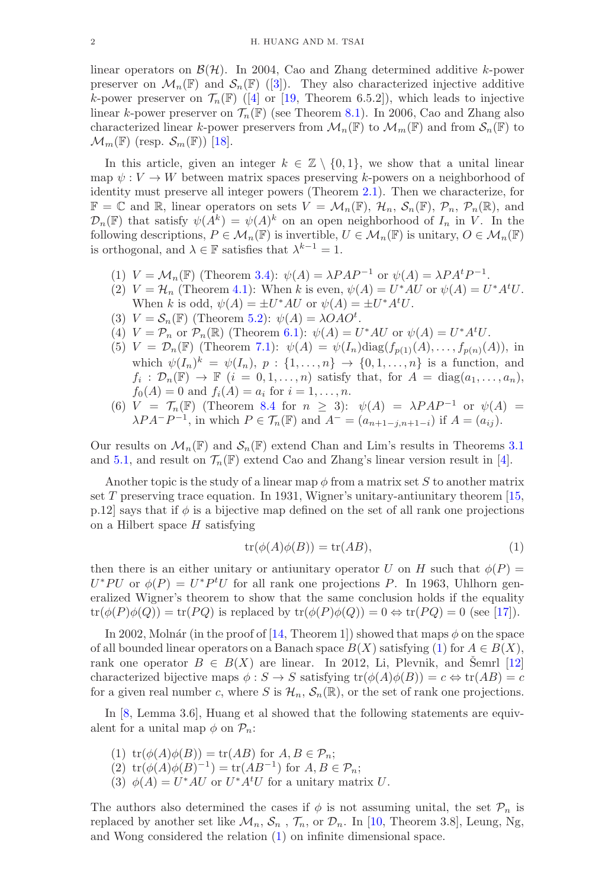linear operators on  $\mathcal{B}(\mathcal{H})$ . In 2004, Cao and Zhang determined additive k-power preserver on  $\mathcal{M}_n(\mathbb{F})$  and  $\mathcal{S}_n(\mathbb{F})$  ([\[3\]](#page-20-10)). They also characterized injective additive k-power preserver on  $\mathcal{T}_n(\mathbb{F})$  ([\[4\]](#page-20-11) or [\[19,](#page-20-5) Theorem 6.5.2]), which leads to injective linear k-power preserver on  $\mathcal{T}_n(\mathbb{F})$  (see Theorem [8.1\)](#page-19-0). In 2006, Cao and Zhang also characterized linear k-power preservers from  $\mathcal{M}_n(\mathbb{F})$  to  $\mathcal{M}_m(\mathbb{F})$  and from  $\mathcal{S}_n(\mathbb{F})$  to  $\mathcal{M}_m(\mathbb{F})$  (resp.  $\mathcal{S}_m(\mathbb{F})$ ) [\[18\]](#page-20-7).

In this article, given an integer  $k \in \mathbb{Z} \setminus \{0,1\}$ , we show that a unital linear map  $\psi : V \to W$  between matrix spaces preserving k-powers on a neighborhood of identity must preserve all integer powers (Theorem [2.1\)](#page-3-0). Then we characterize, for  $\mathbb{F} = \mathbb{C}$  and  $\mathbb{R}$ , linear operators on sets  $V = \mathcal{M}_n(\mathbb{F}), \mathcal{H}_n, \mathcal{S}_n(\mathbb{F}), \mathcal{P}_n, \mathcal{P}_n(\mathbb{R}),$  and  $\mathcal{D}_n(\mathbb{F})$  that satisfy  $\psi(A^k) = \psi(A)^k$  on an open neighborhood of  $I_n$  in  $V$ . In the following descriptions,  $P \in M_n(\mathbb{F})$  is invertible,  $U \in M_n(\mathbb{F})$  is unitary,  $O \in M_n(\mathbb{F})$ is orthogonal, and  $\lambda \in \mathbb{F}$  satisfies that  $\lambda^{k-1} = 1$ .

- (1)  $V = M_n(\mathbb{F})$  (Theorem [3.4\)](#page-5-1):  $\psi(A) = \lambda P A P^{-1}$  or  $\psi(A) = \lambda P A^t P^{-1}$ .
- (2)  $V = H_n$  (Theorem [4.1\)](#page-11-0): When k is even,  $\psi(A) = U^*AU$  or  $\psi(A) = U^*A^tU$ . When k is odd,  $\psi(A) = \pm U^*AU$  or  $\psi(A) = \pm U^*A^tU$ .
- (3)  $V = S_n(\mathbb{F})$  (Theorem [5.2\)](#page-13-1):  $\psi(A) = \lambda OAO^t$ .
- (4)  $V = \mathcal{P}_n$  or  $\mathcal{P}_n(\mathbb{R})$  (Theorem [6.1\)](#page-15-0):  $\psi(A) = U^*AU$  or  $\psi(A) = U^*A^tU$ .
- (5)  $V = \mathcal{D}_n(\mathbb{F})$  (Theorem [7.1\)](#page-17-0):  $\psi(A) = \psi(I_n) \text{diag}(f_{p(1)}(A), \dots, f_{p(n)}(A)),$  in which  $\psi(I_n)^k = \psi(I_n), p : \{1, \ldots, n\} \to \{0, 1, \ldots, n\}$  is a function, and  $f_i: \mathcal{D}_n(\mathbb{F}) \to \mathbb{F}$   $(i = 0, 1, ..., n)$  satisfy that, for  $A = \text{diag}(a_1, ..., a_n)$ ,  $f_0(A) = 0$  and  $f_i(A) = a_i$  for  $i = 1, ..., n$ .
- (6)  $V = \mathcal{T}_n(\mathbb{F})$  (Theorem [8.4](#page-19-1) for  $n \geq 3$ ):  $\psi(A) = \lambda P A P^{-1}$  or  $\psi(A) =$  $\lambda PA^{-}P^{-1}$ , in which  $P \in \mathcal{T}_n(\mathbb{F})$  and  $A^{-} = (a_{n+1-j,n+1-i})$  if  $A = (a_{ij})$ .

Our results on  $\mathcal{M}_n(\mathbb{F})$  and  $\mathcal{S}_n(\mathbb{F})$  extend Chan and Lim's results in Theorems [3.1](#page-5-0) and [5.1,](#page-13-0) and result on  $\mathcal{T}_n(\mathbb{F})$  extend Cao and Zhang's linear version result in [\[4\]](#page-20-11).

Another topic is the study of a linear map  $\phi$  from a matrix set S to another matrix set  $T$  preserving trace equation. In 1931, Wigner's unitary-antiunitary theorem [\[15,](#page-20-2) p.12] says that if  $\phi$  is a bijective map defined on the set of all rank one projections on a Hilbert space  $H$  satisfying

<span id="page-1-0"></span>
$$
tr(\phi(A)\phi(B)) = tr(AB), \qquad (1)
$$

then there is an either unitary or antiunitary operator U on H such that  $\phi(P)$  =  $U^*PU$  or  $\phi(P) = U^*P^tU$  for all rank one projections P. In 1963, Uhlhorn generalized Wigner's theorem to show that the same conclusion holds if the equality  $tr(\phi(P)\phi(Q)) = tr(PQ)$  is replaced by  $tr(\phi(P)\phi(Q)) = 0 \Leftrightarrow tr(PQ) = 0$  (see [\[17\]](#page-20-12)).

In 2002, Molnár (in the proof of [\[14,](#page-20-13) Theorem 1]) showed that maps  $\phi$  on the space of all bounded linear operators on a Banach space  $B(X)$  satisfying [\(1\)](#page-1-0) for  $A \in B(X)$ , rank one operator  $B \in B(X)$  are linear. In 2012, Li, Plevnik, and Semrl [[12\]](#page-20-14) characterized bijective maps  $\phi : S \to S$  satisfying  $tr(\phi(A)\phi(B)) = c \Leftrightarrow tr(AB) = c$ for a given real number c, where S is  $\mathcal{H}_n$ ,  $\mathcal{S}_n(\mathbb{R})$ , or the set of rank one projections.

In [\[8,](#page-20-15) Lemma 3.6], Huang et al showed that the following statements are equivalent for a unital map  $\phi$  on  $\mathcal{P}_n$ :

- (1)  $tr(\phi(A)\phi(B)) = tr(AB)$  for  $A, B \in \mathcal{P}_n$ ;
- (2)  $tr(\phi(A)\phi(B)^{-1}) = tr(AB^{-1})$  for  $A, B \in \mathcal{P}_n$ ;
- (3)  $\phi(A) = U^*AU$  or  $U^*A^tU$  for a unitary matrix U.

The authors also determined the cases if  $\phi$  is not assuming unital, the set  $\mathcal{P}_n$  is replaced by another set like  $\mathcal{M}_n$ ,  $\mathcal{S}_n$ ,  $\mathcal{T}_n$ , or  $\mathcal{D}_n$ . In [\[10,](#page-20-16) Theorem 3.8], Leung, Ng, and Wong considered the relation [\(1\)](#page-1-0) on infinite dimensional space.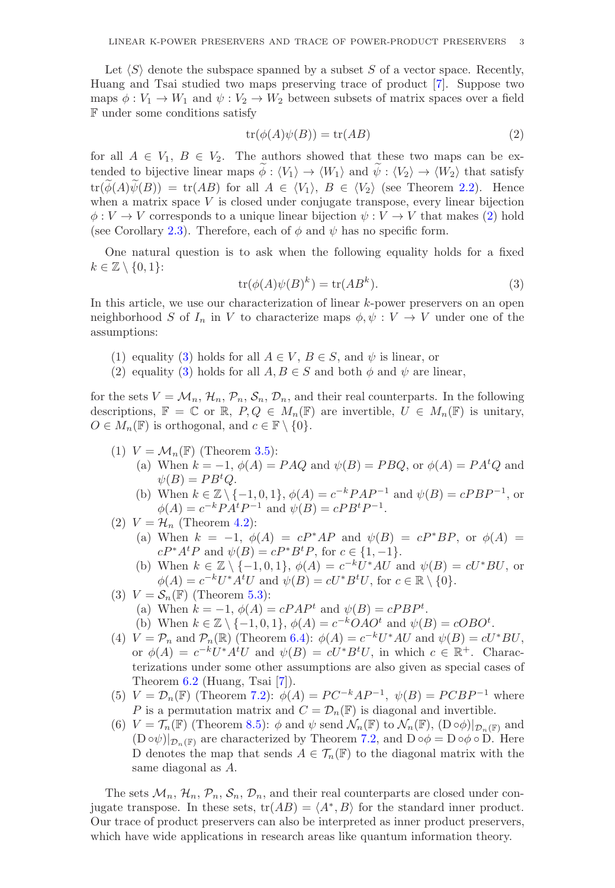Let  $\langle S \rangle$  denote the subspace spanned by a subset S of a vector space. Recently, Huang and Tsai studied two maps preserving trace of product [\[7\]](#page-20-17). Suppose two maps  $\phi: V_1 \to W_1$  and  $\psi: V_2 \to W_2$  between subsets of matrix spaces over a field F under some conditions satisfy

<span id="page-2-0"></span>
$$
tr(\phi(A)\psi(B)) = tr(AB)
$$
 (2)

for all  $A \in V_1, B \in V_2$ . The authors showed that these two maps can be extended to bijective linear maps  $\phi : \langle V_1 \rangle \to \langle W_1 \rangle$  and  $\psi : \langle V_2 \rangle \to \langle W_2 \rangle$  that satisfy  $\text{tr}(\phi(A)\psi(B)) = \text{tr}(AB)$  for all  $A \in \langle V_1 \rangle$ ,  $B \in \langle V_2 \rangle$  (see Theorem [2.2\)](#page-4-0). Hence when a matrix space  $V$  is closed under conjugate transpose, every linear bijection  $\phi: V \to V$  corresponds to a unique linear bijection  $\psi: V \to V$  that makes [\(2\)](#page-2-0) hold (see Corollary [2.3\)](#page-4-1). Therefore, each of  $\phi$  and  $\psi$  has no specific form.

One natural question is to ask when the following equality holds for a fixed  $k \in \mathbb{Z} \setminus \{0,1\}$ :

<span id="page-2-1"></span>
$$
tr(\phi(A)\psi(B)^k) = tr(AB^k).
$$
\n(3)

In this article, we use our characterization of linear k-power preservers on an open neighborhood S of  $I_n$  in V to characterize maps  $\phi, \psi : V \to V$  under one of the assumptions:

- (1) equality [\(3\)](#page-2-1) holds for all  $A \in V$ ,  $B \in S$ , and  $\psi$  is linear, or
- (2) equality [\(3\)](#page-2-1) holds for all  $A, B \in S$  and both  $\phi$  and  $\psi$  are linear,

for the sets  $V = M_n$ ,  $\mathcal{H}_n$ ,  $\mathcal{P}_n$ ,  $\mathcal{S}_n$ ,  $\mathcal{D}_n$ , and their real counterparts. In the following descriptions,  $\mathbb{F} = \mathbb{C}$  or  $\mathbb{R}$ ,  $P, Q \in M_n(\mathbb{F})$  are invertible,  $U \in M_n(\mathbb{F})$  is unitary,  $O \in M_n(\mathbb{F})$  is orthogonal, and  $c \in \mathbb{F} \setminus \{0\}.$ 

- (1)  $V = \mathcal{M}_n(\mathbb{F})$  (Theorem [3.5\)](#page-7-0):
	- (a) When  $k = -1$ ,  $\phi(A) = PAQ$  and  $\psi(B) = PBQ$ , or  $\phi(A) = PA^tQ$  and  $\psi(B) = PB^tQ.$
	- (b) When  $k \in \mathbb{Z} \setminus \{-1, 0, 1\}$ ,  $\phi(A) = c^{-k}PAP^{-1}$  and  $\psi(B) = cPBP^{-1}$ , or  $\phi(A) = c^{-k} P A^t P^{-1}$  and  $\psi(B) = c P B^t P^{-1}$ .
- (2)  $V = \mathcal{H}_n$  (Theorem [4.2\)](#page-12-0):
	- (a) When  $k = -1$ ,  $\phi(A) = cP^*AP$  and  $\psi(B) = cP^*BP$ , or  $\phi(A) =$  $cP^*A^tP$  and  $\psi(B) = cP^*B^tP$ , for  $c \in \{1, -1\}.$
	- (b) When  $k \in \mathbb{Z} \setminus \{-1, 0, 1\}, \phi(A) = c^{-k}U^*AU$  and  $\psi(B) = cU^*BU$ , or  $\phi(A) = c^{-k}U^*A^tU$  and  $\psi(B) = cU^*B^tU$ , for  $c \in \mathbb{R} \setminus \{0\}.$
- (3)  $V = \mathcal{S}_n(\mathbb{F})$  (Theorem [5.3\)](#page-14-0):
	- (a) When  $k = -1$ ,  $\phi(A) = cPAP^t$  and  $\psi(B) = cPBP^t$ .

(b) When 
$$
k \in \mathbb{Z} \setminus \{-1, 0, 1\}
$$
,  $\phi(A) = c^{-k}OAO^t$  and  $\psi(B) = \phi(BO^t)$ .

- (4)  $V = \mathcal{P}_n$  and  $\mathcal{P}_n(\mathbb{R})$  (Theorem [6.4\)](#page-16-0):  $\phi(A) = c^{-k}U^*AU$  and  $\psi(B) = cU^*BU$ , or  $\phi(A) = c^{-k}U^*A^tU$  and  $\psi(B) = cU^*B^tU$ , in which  $c \in \mathbb{R}^+$ . Characterizations under some other assumptions are also given as special cases of Theorem [6.2](#page-15-1) (Huang, Tsai [\[7\]](#page-20-17)).
- (5)  $V = \mathcal{D}_n(\mathbb{F})$  (Theorem [7.2\)](#page-18-0):  $\phi(A) = PC^{-k}AP^{-1}$ ,  $\psi(B) = PCBP^{-1}$  where P is a permutation matrix and  $C = \mathcal{D}_n(\mathbb{F})$  is diagonal and invertible.
- (6)  $V = \mathcal{T}_n(\mathbb{F})$  (Theorem [8.5\)](#page-19-2):  $\phi$  and  $\psi$  send  $\mathcal{N}_n(\mathbb{F})$  to  $\mathcal{N}_n(\mathbb{F})$ ,  $(D \circ \phi)|_{\mathcal{D}_n(\mathbb{F})}$  and  $(D \circ \psi)|_{\mathcal{D}_n(\mathbb{F})}$  are characterized by Theorem [7.2,](#page-18-0) and  $D \circ \phi = D \circ \phi \circ D$ . Here D denotes the map that sends  $A \in \mathcal{T}_n(\mathbb{F})$  to the diagonal matrix with the same diagonal as A.

The sets  $\mathcal{M}_n$ ,  $\mathcal{H}_n$ ,  $\mathcal{P}_n$ ,  $\mathcal{S}_n$ ,  $\mathcal{D}_n$ , and their real counterparts are closed under conjugate transpose. In these sets,  $tr(AB) = \langle A^*, B \rangle$  for the standard inner product. Our trace of product preservers can also be interpreted as inner product preservers, which have wide applications in research areas like quantum information theory.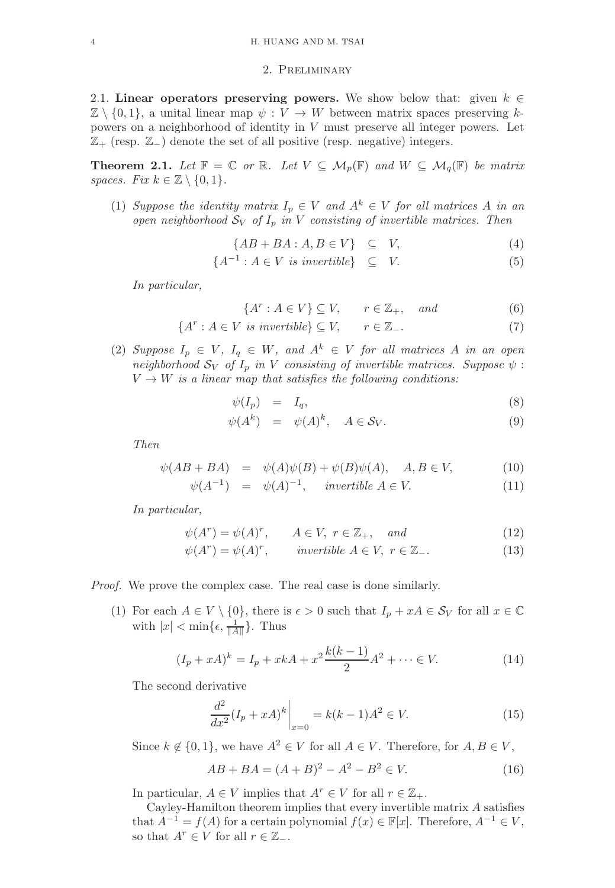### 2. Preliminary

2.1. Linear operators preserving powers. We show below that: given  $k \in \mathbb{Z}$  $\mathbb{Z} \setminus \{0,1\}$ , a unital linear map  $\psi: V \to W$  between matrix spaces preserving kpowers on a neighborhood of identity in V must preserve all integer powers. Let  $\mathbb{Z}_+$  (resp.  $\mathbb{Z}_-$ ) denote the set of all positive (resp. negative) integers.

<span id="page-3-0"></span>**Theorem 2.1.** Let  $\mathbb{F} = \mathbb{C}$  or  $\mathbb{R}$ . Let  $V \subseteq \mathcal{M}_p(\mathbb{F})$  and  $W \subseteq \mathcal{M}_q(\mathbb{F})$  be matrix *spaces. Fix*  $k \in \mathbb{Z} \setminus \{0, 1\}$ *.* 

(1) *Suppose the identity matrix*  $I_p \in V$  *and*  $A^k \in V$  *for all matrices* A *in an open neighborhood*  $S_V$  *of*  $I_p$  *in*  $V$  *consisting of invertible matrices. Then* 

$$
\{AB + BA : A, B \in V\} \subseteq V,\tag{4}
$$

$$
\{A^{-1} : A \in V \text{ is invertible}\} \subseteq V. \tag{5}
$$

*In particular,*

$$
\{A^r : A \in V\} \subseteq V, \qquad r \in \mathbb{Z}_+, \quad \text{and} \tag{6}
$$

$$
\{A^r : A \in V \text{ is invertible}\} \subseteq V, \qquad r \in \mathbb{Z}_-.
$$
 (7)

(2) Suppose  $I_p \in V$ ,  $I_q \in W$ , and  $A^k \in V$  for all matrices A in an open *neighborhood*  $S_V$  *of*  $I_p$  *in* V *consisting of invertible matrices. Suppose*  $\psi$  :  $V \rightarrow W$  *is a linear map that satisfies the following conditions:* 

<span id="page-3-1"></span>
$$
\psi(I_p) = I_q,\tag{8}
$$

$$
\psi(A^k) = \psi(A)^k, \quad A \in \mathcal{S}_V. \tag{9}
$$

*Then*

<span id="page-3-2"></span>
$$
\psi(AB + BA) = \psi(A)\psi(B) + \psi(B)\psi(A), \quad A, B \in V,
$$
\n(10)

$$
\psi(A^{-1}) = \psi(A)^{-1}, \quad invertible \ A \in V. \tag{11}
$$

*In particular,*

$$
\psi(A^r) = \psi(A)^r, \qquad A \in V, \ r \in \mathbb{Z}_+, \quad and \tag{12}
$$

$$
\psi(A^r) = \psi(A)^r, \qquad invertible \ A \in V, \ r \in \mathbb{Z}_-.
$$
 (13)

#### *Proof.* We prove the complex case. The real case is done similarly.

(1) For each  $A \in V \setminus \{0\}$ , there is  $\epsilon > 0$  such that  $I_p + xA \in \mathcal{S}_V$  for all  $x \in \mathbb{C}$ with  $|x| < \min\{\epsilon, \frac{1}{\|A\|}\}\$ . Thus

$$
(I_p + xA)^k = I_p + xkA + x^2 \frac{k(k-1)}{2} A^2 + \dots \in V.
$$
 (14)

The second derivative

$$
\left. \frac{d^2}{dx^2} (I_p + xA)^k \right|_{x=0} = k(k-1)A^2 \in V. \tag{15}
$$

Since  $k \notin \{0, 1\}$ , we have  $A^2 \in V$  for all  $A \in V$ . Therefore, for  $A, B \in V$ ,

$$
AB + BA = (A + B)^{2} - A^{2} - B^{2} \in V.
$$
 (16)

In particular,  $A \in V$  implies that  $A^r \in V$  for all  $r \in \mathbb{Z}_+$ .

Cayley-Hamilton theorem implies that every invertible matrix A satisfies that  $A^{-1} = f(A)$  for a certain polynomial  $f(x) \in \mathbb{F}[x]$ . Therefore,  $A^{-1} \in V$ , so that  $A^r \in V$  for all  $r \in \mathbb{Z}_-$ .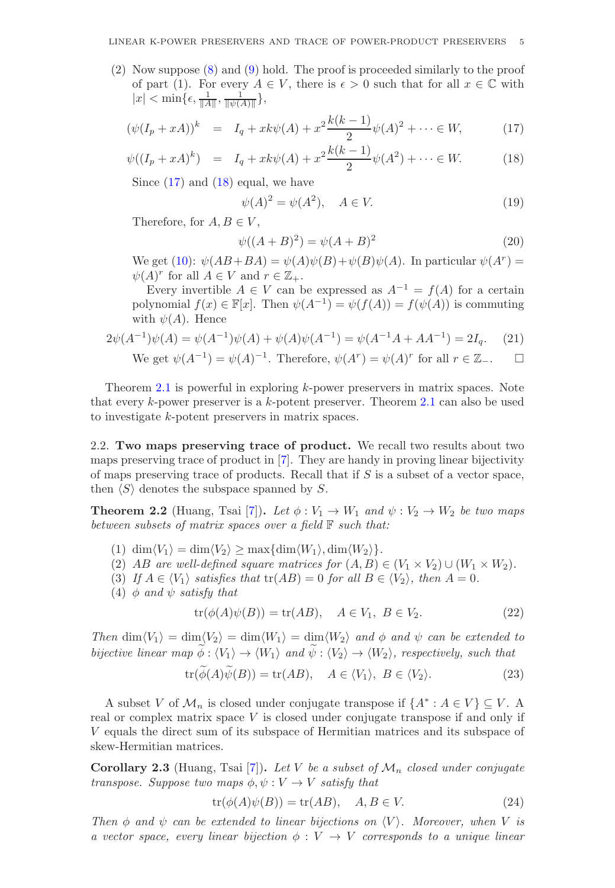(2) Now suppose [\(8\)](#page-3-1) and [\(9\)](#page-3-1) hold. The proof is proceeded similarly to the proof of part (1). For every  $A \in V$ , there is  $\epsilon > 0$  such that for all  $x \in \mathbb{C}$  with  $|x| < \min\{\epsilon, \frac{1}{\|A\|}, \frac{1}{\|\psi(A)\|}\},\$ 

<span id="page-4-2"></span>
$$
(\psi(I_p + xA))^k = I_q + xk\psi(A) + x^2 \frac{k(k-1)}{2} \psi(A)^2 + \dots \in W,
$$
 (17)

$$
\psi((I_p + xA)^k) = I_q + xk\psi(A) + x^2 \frac{k(k-1)}{2} \psi(A^2) + \dots \in W.
$$
 (18)

Since  $(17)$  and  $(18)$  equal, we have

$$
\psi(A)^2 = \psi(A^2), \quad A \in V. \tag{19}
$$

Therefore, for  $A, B \in V$ ,

$$
\psi((A+B)^2) = \psi(A+B)^2
$$
\n(20)

We get [\(10\)](#page-3-2):  $\psi(AB+BA) = \psi(A)\psi(B) + \psi(B)\psi(A)$ . In particular  $\psi(A^r) =$  $\psi(A)^r$  for all  $A \in V$  and  $r \in \mathbb{Z}_+$ .

Every invertible  $A \in V$  can be expressed as  $A^{-1} = f(A)$  for a certain polynomial  $f(x) \in \mathbb{F}[x]$ . Then  $\psi(A^{-1}) = \psi(f(A)) = f(\psi(A))$  is commuting with  $\psi(A)$ . Hence

$$
2\psi(A^{-1})\psi(A) = \psi(A^{-1})\psi(A) + \psi(A)\psi(A^{-1}) = \psi(A^{-1}A + AA^{-1}) = 2I_q.
$$
 (21)

We get 
$$
\psi(A^{-1}) = \psi(A)^{-1}
$$
. Therefore,  $\psi(A^r) = \psi(A)^r$  for all  $r \in \mathbb{Z}_-$ .  $\square$ 

Theorem [2.1](#page-3-0) is powerful in exploring k-power preservers in matrix spaces. Note that every  $k$ -power preserver is a  $k$ -potent preserver. Theorem [2.1](#page-3-0) can also be used to investigate k-potent preservers in matrix spaces.

2.2. Two maps preserving trace of product. We recall two results about two maps preserving trace of product in [\[7\]](#page-20-17). They are handy in proving linear bijectivity of maps preserving trace of products. Recall that if  $S$  is a subset of a vector space, then  $\langle S \rangle$  denotes the subspace spanned by S.

<span id="page-4-0"></span>**Theorem 2.2** (Huang, Tsai [\[7\]](#page-20-17)). Let  $\phi: V_1 \to W_1$  and  $\psi: V_2 \to W_2$  be two maps *between subsets of matrix spaces over a field* F *such that:*

- (1)  $\dim\langle V_1 \rangle = \dim\langle V_2 \rangle \ge \max\{\dim\langle W_1 \rangle, \dim\langle W_2 \rangle\}.$
- (2) AB are well-defined square matrices for  $(A, B) \in (V_1 \times V_2) \cup (W_1 \times W_2)$ .
- (3) If  $A \in \langle V_1 \rangle$  *satisfies that*  $tr(AB) = 0$  *for all*  $B \in \langle V_2 \rangle$ *, then*  $A = 0$ *.*
- (4)  $\phi$  *and*  $\psi$  *satisfy that*

$$
tr(\phi(A)\psi(B)) = tr(AB), \quad A \in V_1, B \in V_2.
$$
 (22)

*Then*  $\dim \langle V_1 \rangle = \dim \langle V_2 \rangle = \dim \langle W_1 \rangle = \dim \langle W_2 \rangle$  *and*  $\phi$  *and*  $\psi$  *can be extended to bijective linear map*  $\widetilde{\phi}: \langle V_1 \rangle \to \langle W_1 \rangle$  *and*  $\widetilde{\psi}: \langle V_2 \rangle \to \langle W_2 \rangle$ *, respectively, such that* 

$$
\operatorname{tr}(\phi(A)\psi(B)) = \operatorname{tr}(AB), \quad A \in \langle V_1 \rangle, \ B \in \langle V_2 \rangle. \tag{23}
$$

A subset V of  $\mathcal{M}_n$  is closed under conjugate transpose if  $\{A^* : A \in V\} \subseteq V$ . real or complex matrix space  $V$  is closed under conjugate transpose if and only if V equals the direct sum of its subspace of Hermitian matrices and its subspace of skew-Hermitian matrices.

<span id="page-4-1"></span>**Corollary 2.3** (Huang, Tsai [\[7\]](#page-20-17)). Let V be a subset of  $\mathcal{M}_n$  closed under conjugate *transpose. Suppose two maps*  $\phi, \psi : V \to V$  *satisfy that* 

<span id="page-4-3"></span>
$$
tr(\phi(A)\psi(B)) = tr(AB), \quad A, B \in V.
$$
 (24)

*Then*  $\phi$  *and*  $\psi$  *can be extended to linear bijections on*  $\langle V \rangle$ *. Moreover, when* V *is a vector space, every linear bijection*  $\phi: V \to V$  *corresponds to a unique linear*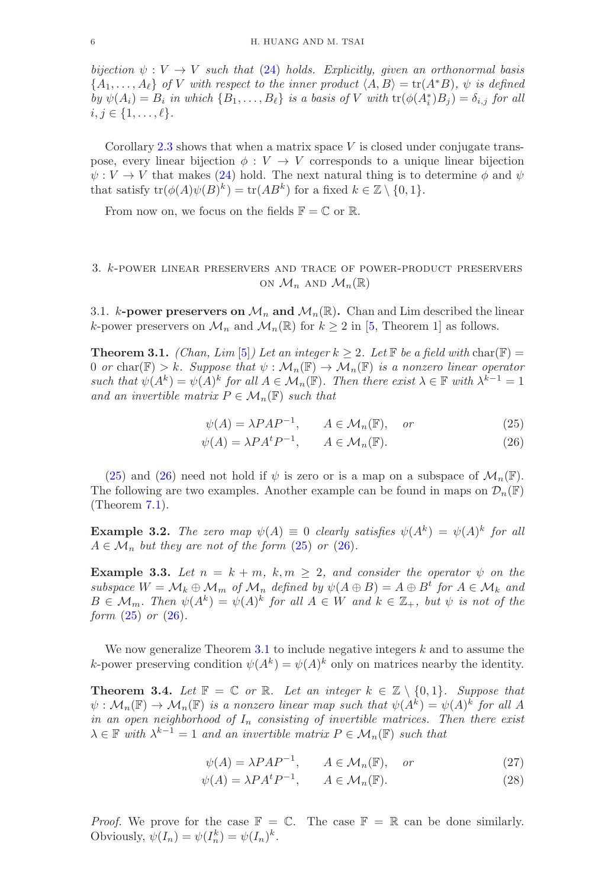*bijection*  $\psi: V \to V$  *such that* [\(24\)](#page-4-3) *holds. Explicitly, given an orthonormal basis*  $\{A_1, \ldots, A_\ell\}$  *of* V with respect to the inner product  $\langle A, B \rangle = \text{tr}(A^*B)$ ,  $\psi$  is defined  $by \psi(A_i) = B_i$  *in which*  $\{B_1, \ldots, B_\ell\}$  *is a basis of* V *with*  $\text{tr}(\phi(A_i^*)B_j) = \delta_{i,j}$  *for all*  $i, j \in \{1, \ldots, \ell\}.$ 

Corollary [2.3](#page-4-1) shows that when a matrix space  $V$  is closed under conjugate transpose, every linear bijection  $\phi: V \to V$  corresponds to a unique linear bijection  $\psi: V \to V$  that makes [\(24\)](#page-4-3) hold. The next natural thing is to determine  $\phi$  and  $\psi$ that satisfy  $tr(\phi(A)\psi(B)^k) = tr(AB^k)$  for a fixed  $k \in \mathbb{Z} \setminus \{0,1\}.$ 

From now on, we focus on the fields  $\mathbb{F} = \mathbb{C}$  or  $\mathbb{R}$ .

### 3. k-power linear preservers and trace of power-product preservers ON  $\mathcal{M}_n$  AND  $\mathcal{M}_n(\mathbb{R})$

3.1. k-power preservers on  $\mathcal{M}_n$  and  $\mathcal{M}_n(\mathbb{R})$ . Chan and Lim described the linear k-power preservers on  $\mathcal{M}_n$  and  $\mathcal{M}_n(\mathbb{R})$  for  $k \geq 2$  in [\[5,](#page-20-4) Theorem 1] as follows.

<span id="page-5-0"></span>**Theorem 3.1.** *(Chan, Lim* [\[5\]](#page-20-4)*) Let an integer*  $k \geq 2$ *. Let*  $\mathbb{F}$  *be a field with* char( $\mathbb{F}$ ) = 0 *or* char( $\mathbb{F}$ ) > k. Suppose that  $\psi : \mathcal{M}_n(\mathbb{F}) \to \mathcal{M}_n(\mathbb{F})$  is a nonzero linear operator *such that*  $\psi(A^k) = \psi(A)^k$  *for all*  $A \in \mathcal{M}_n(\mathbb{F})$ *. Then there exist*  $\lambda \in \mathbb{F}$  *with*  $\lambda^{k-1} = 1$ *and an invertible matrix*  $P \in \mathcal{M}_n(\mathbb{F})$  *such that* 

<span id="page-5-2"></span>
$$
\psi(A) = \lambda P A P^{-1}, \qquad A \in \mathcal{M}_n(\mathbb{F}), \quad or \tag{25}
$$

$$
\psi(A) = \lambda P A^t P^{-1}, \qquad A \in \mathcal{M}_n(\mathbb{F}).
$$
\n(26)

[\(25\)](#page-5-2) and [\(26\)](#page-5-2) need not hold if  $\psi$  is zero or is a map on a subspace of  $\mathcal{M}_n(\mathbb{F})$ . The following are two examples. Another example can be found in maps on  $\mathcal{D}_n(\mathbb{F})$ (Theorem [7.1\)](#page-17-0).

**Example 3.2.** The zero map  $\psi(A) \equiv 0$  clearly satisfies  $\psi(A^k) = \psi(A)^k$  for all  $A \in \mathcal{M}_n$  *but they are not of the form* [\(25\)](#page-5-2) *or* [\(26\)](#page-5-2)*.* 

**Example 3.3.** Let  $n = k + m$ ,  $k, m \geq 2$ , and consider the operator  $\psi$  on the  $subspace W = M_k \oplus M_m$  of  $M_n$  defined by  $\psi(A \oplus B) = A \oplus B^t$  for  $A \in M_k$  and  $B \in \mathcal{M}_m$ . Then  $\psi(A^k) = \psi(A)^k$  for all  $A \in W$  and  $k \in \mathbb{Z}_+$ , but  $\psi$  is not of the *form* [\(25\)](#page-5-2) *or* [\(26\)](#page-5-2)*.*

We now generalize Theorem [3.1](#page-5-0) to include negative integers  $k$  and to assume the k-power preserving condition  $\psi(A^k) = \psi(A)^k$  only on matrices nearby the identity.

<span id="page-5-1"></span>**Theorem 3.4.** Let  $\mathbb{F} = \mathbb{C}$  or  $\mathbb{R}$ . Let an integer  $k \in \mathbb{Z} \setminus \{0,1\}$ . Suppose that  $\psi: \mathcal{M}_n(\mathbb{F}) \to \mathcal{M}_n(\mathbb{F})$  *is a nonzero linear map such that*  $\psi(A^k) = \psi(A)^k$  *for all A in an open neighborhood of*  $I_n$  *consisting of invertible matrices. Then there exist*  $\lambda \in \mathbb{F}$  with  $\lambda^{k-1} = 1$  and an invertible matrix  $P \in \mathcal{M}_n(\mathbb{F})$  such that

<span id="page-5-3"></span>
$$
\psi(A) = \lambda P A P^{-1}, \qquad A \in \mathcal{M}_n(\mathbb{F}), \quad or \tag{27}
$$

$$
\psi(A) = \lambda P A^t P^{-1}, \qquad A \in \mathcal{M}_n(\mathbb{F}).
$$
\n(28)

*Proof.* We prove for the case  $\mathbb{F} = \mathbb{C}$ . The case  $\mathbb{F} = \mathbb{R}$  can be done similarly. Obviously,  $\psi(I_n) = \psi(I_n^k) = \psi(I_n)^k$ .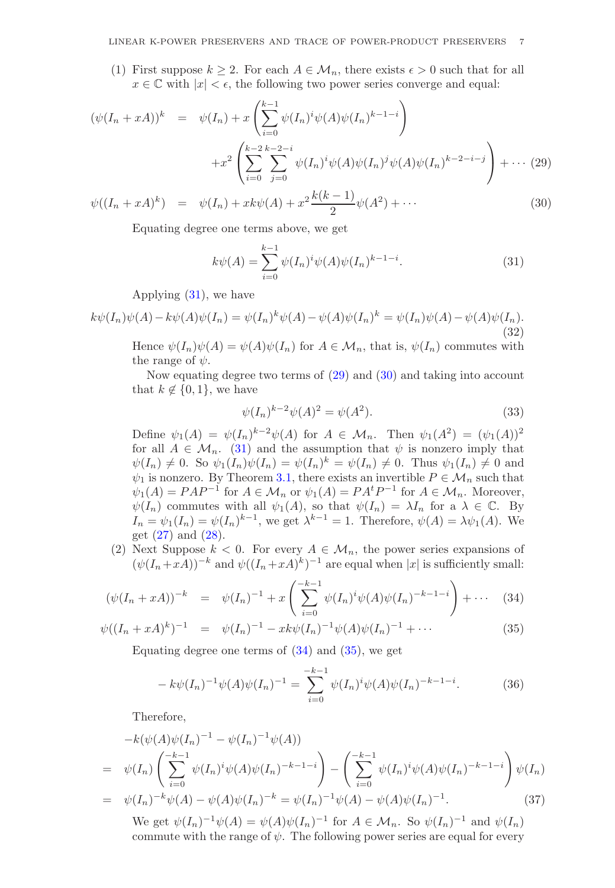(1) First suppose  $k \geq 2$ . For each  $A \in \mathcal{M}_n$ , there exists  $\epsilon > 0$  such that for all  $x \in \mathbb{C}$  with  $|x| < \epsilon$ , the following two power series converge and equal:

<span id="page-6-1"></span>
$$
(\psi(I_n + xA))^k = \psi(I_n) + x \left( \sum_{i=0}^{k-1} \psi(I_n)^i \psi(A) \psi(I_n)^{k-1-i} \right)
$$
  
+ 
$$
+ x^2 \left( \sum_{i=0}^{k-2} \sum_{j=0}^{k-2-i} \psi(I_n)^i \psi(A) \psi(I_n)^j \psi(A) \psi(I_n)^{k-2-i-j} \right) + \cdots (29)
$$

$$
\psi((I_n + xA)^k) = \psi(I_n) + xk\psi(A) + x^2 \frac{k(k-1)}{2} \psi(A^2) + \cdots
$$
\n(30)

Equating degree one terms above, we get

<span id="page-6-0"></span>
$$
k\psi(A) = \sum_{i=0}^{k-1} \psi(I_n)^i \psi(A) \psi(I_n)^{k-1-i}.
$$
 (31)

Applying [\(31\)](#page-6-0), we have

$$
k\psi(I_n)\psi(A) - k\psi(A)\psi(I_n) = \psi(I_n)^k\psi(A) - \psi(A)\psi(I_n)^k = \psi(I_n)\psi(A) - \psi(A)\psi(I_n).
$$
\n(32)

Hence  $\psi(I_n)\psi(A) = \psi(A)\psi(I_n)$  for  $A \in \mathcal{M}_n$ , that is,  $\psi(I_n)$  commutes with the range of  $\psi$ .

Now equating degree two terms of [\(29\)](#page-6-1) and [\(30\)](#page-6-1) and taking into account that  $k \notin \{0,1\}$ , we have

<span id="page-6-3"></span>
$$
\psi(I_n)^{k-2}\psi(A)^2 = \psi(A^2). \tag{33}
$$

Define  $\psi_1(A) = \psi(I_n)^{k-2} \psi(A)$  for  $A \in \mathcal{M}_n$ . Then  $\psi_1(A^2) = (\psi_1(A))^2$ for all  $A \in \mathcal{M}_n$ . [\(31\)](#page-6-0) and the assumption that  $\psi$  is nonzero imply that  $\psi(I_n) \neq 0$ . So  $\psi_1(I_n)\psi(I_n) = \psi(I_n)^k = \psi(I_n) \neq 0$ . Thus  $\psi_1(I_n) \neq 0$  and  $\psi_1$  is nonzero. By Theorem [3.1,](#page-5-0) there exists an invertible  $P \in \mathcal{M}_n$  such that  $\psi_1(A) = PAP^{-1}$  for  $A \in \mathcal{M}_n$  or  $\psi_1(A) = P A^t P^{-1}$  for  $A \in \mathcal{M}_n$ . Moreover,  $\psi(I_n)$  commutes with all  $\psi_1(A)$ , so that  $\psi(I_n) = \lambda I_n$  for a  $\lambda \in \mathbb{C}$ . By  $I_n = \psi_1(I_n) = \psi(I_n)^{k-1}$ , we get  $\lambda^{k-1} = 1$ . Therefore,  $\psi(A) = \lambda \psi_1(A)$ . We get  $(27)$  and  $(28)$ .

(2) Next Suppose  $k < 0$ . For every  $A \in \mathcal{M}_n$ , the power series expansions of  $(\psi(I_n+xA))^{-k}$  and  $\psi((I_n+xA)^k)^{-1}$  are equal when |x| is sufficiently small:

<span id="page-6-2"></span>
$$
(\psi(I_n + xA))^{-k} = \psi(I_n)^{-1} + x \left( \sum_{i=0}^{-k-1} \psi(I_n)^i \psi(A) \psi(I_n)^{-k-1-i} \right) + \cdots \quad (34)
$$

$$
\psi((I_n + xA)^k)^{-1} = \psi(I_n)^{-1} - xk\psi(I_n)^{-1}\psi(A)\psi(I_n)^{-1} + \cdots
$$
\n(35)

Equating degree one terms of  $(34)$  and  $(35)$ , we get

$$
- k\psi(I_n)^{-1}\psi(A)\psi(I_n)^{-1} = \sum_{i=0}^{-k-1} \psi(I_n)^i\psi(A)\psi(I_n)^{-k-1-i}.
$$
 (36)

Therefore,

$$
-k(\psi(A)\psi(I_n)^{-1} - \psi(I_n)^{-1}\psi(A))
$$
  
=  $\psi(I_n) \left( \sum_{i=0}^{-k-1} \psi(I_n)^i \psi(A) \psi(I_n)^{-k-1-i} \right) - \left( \sum_{i=0}^{-k-1} \psi(I_n)^i \psi(A) \psi(I_n)^{-k-1-i} \right) \psi(I_n)$   
=  $\psi(I_n)^{-k} \psi(A) - \psi(A) \psi(I_n)^{-k} = \psi(I_n)^{-1} \psi(A) - \psi(A) \psi(I_n)^{-1}.$  (37)

We get  $\psi(I_n)^{-1}\psi(A) = \psi(A)\psi(I_n)^{-1}$  for  $A \in \mathcal{M}_n$ . So  $\psi(I_n)^{-1}$  and  $\psi(I_n)$ commute with the range of  $\psi$ . The following power series are equal for every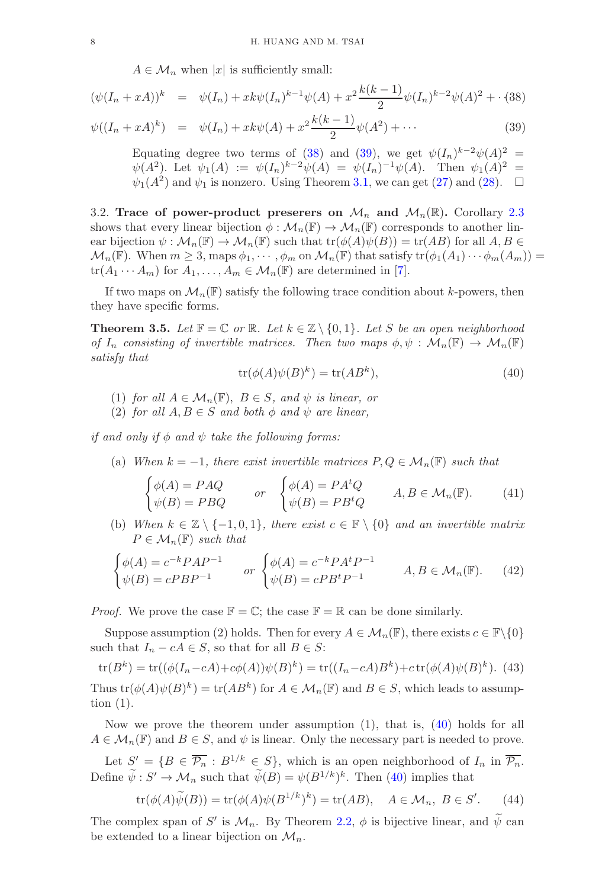$A \in \mathcal{M}_n$  when |x| is sufficiently small:

<span id="page-7-1"></span>
$$
(\psi(I_n + xA))^k = \psi(I_n) + xk\psi(I_n)^{k-1}\psi(A) + x^2\frac{k(k-1)}{2}\psi(I_n)^{k-2}\psi(A)^2 + \cdot (38)
$$

$$
\psi((I_n + xA)^k) = \psi(I_n) + xk\psi(A) + x^2 \frac{k(k-1)}{2} \psi(A^2) + \cdots
$$
\n(39)

Equating degree two terms of [\(38\)](#page-7-1) and [\(39\)](#page-7-1), we get  $\psi(I_n)^{k-2}\psi(A)^2 =$  $\psi(A^2)$ . Let  $\psi_1(A) := \psi(I_n)^{k-2} \psi(A) = \psi(I_n)^{-1} \psi(A)$ . Then  $\psi_1(A)^2 =$  $\psi_1(A^2)$  and  $\psi_1$  is nonzero. Using Theorem [3.1,](#page-5-0) we can get [\(27\)](#page-5-3) and [\(28\)](#page-5-3).  $\Box$ 

3.2. Trace of power-product preserers on  $\mathcal{M}_n$  and  $\mathcal{M}_n(\mathbb{R})$ . Corollary [2.3](#page-4-1) shows that every linear bijection  $\phi : \mathcal{M}_n(\mathbb{F}) \to \mathcal{M}_n(\mathbb{F})$  corresponds to another linear bijection  $\psi : \mathcal{M}_n(\mathbb{F}) \to \mathcal{M}_n(\mathbb{F})$  such that  $tr(\phi(A)\psi(B)) = tr(AB)$  for all  $A, B \in$  $\mathcal{M}_n(\mathbb{F})$ . When  $m \geq 3$ , maps  $\phi_1, \dots, \phi_m$  on  $\mathcal{M}_n(\mathbb{F})$  that satisfy  $\text{tr}(\phi_1(A_1) \dots \phi_m(A_m)) =$  $\text{tr}(A_1 \cdots A_m)$  for  $A_1, \ldots, A_m \in \mathcal{M}_n(\mathbb{F})$  are determined in [\[7\]](#page-20-17).

If two maps on  $\mathcal{M}_n(\mathbb{F})$  satisfy the following trace condition about k-powers, then they have specific forms.

<span id="page-7-0"></span>**Theorem 3.5.** Let  $\mathbb{F} = \mathbb{C}$  or  $\mathbb{R}$ . Let  $k \in \mathbb{Z} \setminus \{0,1\}$ . Let S be an open neighborhood *of*  $I_n$  *consisting of invertible matrices. Then two maps*  $\phi, \psi : \mathcal{M}_n(\mathbb{F}) \to \mathcal{M}_n(\mathbb{F})$ *satisfy that*

<span id="page-7-2"></span>
$$
tr(\phi(A)\psi(B)^k) = tr(AB^k),\tag{40}
$$

- (1) *for all*  $A \in \mathcal{M}_n(\mathbb{F})$ ,  $B \in S$ , and  $\psi$  *is linear, or*
- (2) *for all*  $A, B \in S$  *and both*  $\phi$  *and*  $\psi$  *are linear,*

*if and only if*  $\phi$  *and*  $\psi$  *take the following forms:* 

(a) *When*  $k = -1$ *, there exist invertible matrices*  $P, Q \in \mathcal{M}_n(\mathbb{F})$  *such that* 

<span id="page-7-4"></span>
$$
\begin{cases}\n\phi(A) = PAQ & or \quad \begin{cases}\n\phi(A) = PA^tQ \\
\psi(B) = PBQ\n\end{cases} & A, B \in \mathcal{M}_n(\mathbb{F}).\n\end{cases}
$$
\n(41)

(b) When  $k \in \mathbb{Z} \setminus \{-1, 0, 1\}$ , there exist  $c \in \mathbb{F} \setminus \{0\}$  and an invertible matrix  $P \in \mathcal{M}_n(\mathbb{F})$  *such that* 

<span id="page-7-3"></span>
$$
\begin{cases}\n\phi(A) = c^{-k} P A P^{-1} & or \begin{cases}\n\phi(A) = c^{-k} P A^t P^{-1} \\
\psi(B) = c P B P^{-1}\n\end{cases} & A, B \in \mathcal{M}_n(\mathbb{F}).\n\end{cases}
$$
\n(42)

*Proof.* We prove the case  $\mathbb{F} = \mathbb{C}$ ; the case  $\mathbb{F} = \mathbb{R}$  can be done similarly.

Suppose assumption (2) holds. Then for every  $A \in \mathcal{M}_n(\mathbb{F})$ , there exists  $c \in \mathbb{F}\backslash\{0\}$ such that  $I_n - cA \in S$ , so that for all  $B \in S$ :

$$
\text{tr}(B^k) = \text{tr}((\phi(I_n - cA) + c\phi(A))\psi(B)^k) = \text{tr}((I_n - cA)B^k) + c\,\text{tr}(\phi(A)\psi(B)^k). \tag{43}
$$

Thus  $tr(\phi(A)\psi(B)^k) = tr(AB^k)$  for  $A \in \mathcal{M}_n(\mathbb{F})$  and  $B \in S$ , which leads to assumption (1).

Now we prove the theorem under assumption (1), that is, [\(40\)](#page-7-2) holds for all  $A \in \mathcal{M}_n(\mathbb{F})$  and  $B \in S$ , and  $\psi$  is linear. Only the necessary part is needed to prove.

Let  $S' = \{B \in \overline{\mathcal{P}_n} : B^{1/k} \in S\}$ , which is an open neighborhood of  $I_n$  in  $\overline{\mathcal{P}_n}$ . Define  $\psi: S' \to \mathcal{M}_n$  such that  $\psi(B) = \psi(B^{1/k})^k$ . Then [\(40\)](#page-7-2) implies that

$$
\operatorname{tr}(\phi(A)\widetilde{\psi}(B)) = \operatorname{tr}(\phi(A)\psi(B^{1/k})^k) = \operatorname{tr}(AB), \quad A \in \mathcal{M}_n, B \in S'. \tag{44}
$$

The complex span of S' is  $\mathcal{M}_n$ . By Theorem [2.2,](#page-4-0)  $\phi$  is bijective linear, and  $\psi$  can be extended to a linear bijection on  $\mathcal{M}_n$ .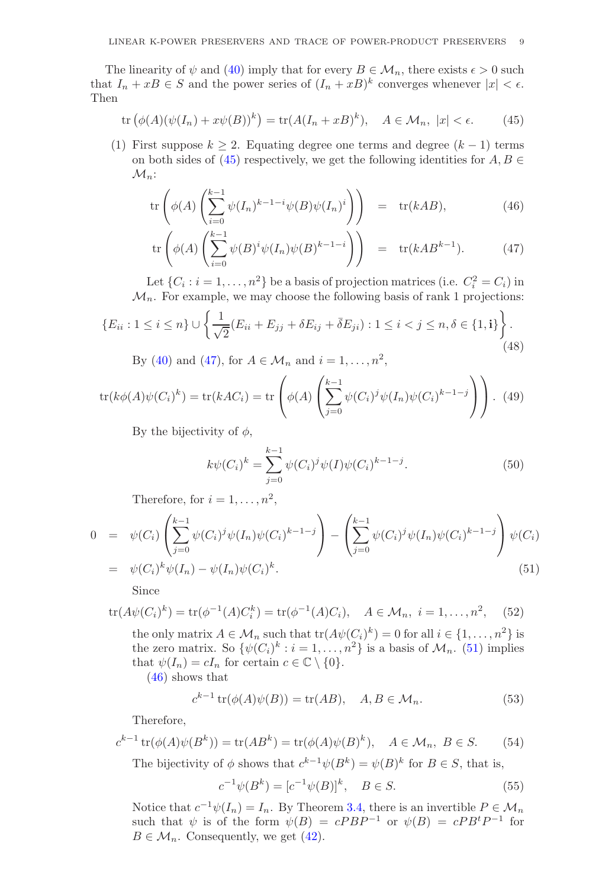The linearity of  $\psi$  and [\(40\)](#page-7-2) imply that for every  $B \in \mathcal{M}_n$ , there exists  $\epsilon > 0$  such that  $I_n + xB \in S$  and the power series of  $(I_n + xB)^k$  converges whenever  $|x| < \epsilon$ . Then

<span id="page-8-0"></span>
$$
\operatorname{tr}\left(\phi(A)(\psi(I_n) + x\psi(B))^k\right) = \operatorname{tr}(A(I_n + xB)^k), \quad A \in \mathcal{M}_n, \ |x| < \epsilon. \tag{45}
$$

(1) First suppose  $k \geq 2$ . Equating degree one terms and degree  $(k-1)$  terms on both sides of [\(45\)](#page-8-0) respectively, we get the following identities for  $A, B \in$  $\mathcal{M}_n$ :

<span id="page-8-1"></span>
$$
\operatorname{tr}\left(\phi(A)\left(\sum_{i=0}^{k-1}\psi(I_n)^{k-1-i}\psi(B)\psi(I_n)^i\right)\right) = \operatorname{tr}(kAB),\tag{46}
$$

$$
\operatorname{tr}\left(\phi(A)\left(\sum_{i=0}^{k-1}\psi(B)^i\psi(I_n)\psi(B)^{k-1-i}\right)\right) = \operatorname{tr}(kAB^{k-1}).\tag{47}
$$

Let  $\{C_i : i = 1, \ldots, n^2\}$  be a basis of projection matrices (i.e.  $C_i^2 = C_i$ ) in  $\mathcal{M}_n$ . For example, we may choose the following basis of rank 1 projections:

<span id="page-8-3"></span>
$$
\{E_{ii} : 1 \le i \le n\} \cup \left\{\frac{1}{\sqrt{2}}(E_{ii} + E_{jj} + \delta E_{ij} + \bar{\delta} E_{ji}) : 1 \le i < j \le n, \delta \in \{1, i\}\right\}.
$$
\n(48)

By [\(40\)](#page-7-2) and [\(47\)](#page-8-1), for  $A \in M_n$  and  $i = 1, ..., n^2$ ,

$$
\operatorname{tr}(k\phi(A)\psi(C_i)^k) = \operatorname{tr}(kAC_i) = \operatorname{tr}\left(\phi(A)\left(\sum_{j=0}^{k-1} \psi(C_i)^j \psi(I_n)\psi(C_i)^{k-1-j}\right)\right). \tag{49}
$$

By the bijectivity of  $\phi$ ,

$$
k\psi(C_i)^k = \sum_{j=0}^{k-1} \psi(C_i)^j \psi(I) \psi(C_i)^{k-1-j}.
$$
 (50)

Therefore, for  $i = 1, \ldots, n^2$ ,

<span id="page-8-2"></span>
$$
0 = \psi(C_i) \left( \sum_{j=0}^{k-1} \psi(C_i)^j \psi(I_n) \psi(C_i)^{k-1-j} \right) - \left( \sum_{j=0}^{k-1} \psi(C_i)^j \psi(I_n) \psi(C_i)^{k-1-j} \right) \psi(C_i)
$$
  
=  $\psi(C_i)^k \psi(I_n) - \psi(I_n) \psi(C_i)^k.$  (51)

Since

$$
\text{tr}(A\psi(C_i)^k) = \text{tr}(\phi^{-1}(A)C_i^k) = \text{tr}(\phi^{-1}(A)C_i), \quad A \in \mathcal{M}_n, \ i = 1, \dots, n^2, \quad (52)
$$

the only matrix  $A \in \mathcal{M}_n$  such that  $tr(A\psi(C_i)^k) = 0$  for all  $i \in \{1, \ldots, n^2\}$  is the zero matrix. So  $\{\psi(C_i)^k : i = 1, ..., n^2\}$  is a basis of  $\mathcal{M}_n$ . [\(51\)](#page-8-2) implies that  $\psi(I_n) = cI_n$  for certain  $c \in \mathbb{C} \setminus \{0\}.$ 

[\(46\)](#page-8-1) shows that

$$
c^{k-1}\operatorname{tr}(\phi(A)\psi(B)) = \operatorname{tr}(AB), \quad A, B \in \mathcal{M}_n. \tag{53}
$$

Therefore,

$$
c^{k-1}\operatorname{tr}(\phi(A)\psi(B^k)) = \operatorname{tr}(AB^k) = \operatorname{tr}(\phi(A)\psi(B)^k), \quad A \in \mathcal{M}_n, B \in S. \tag{54}
$$

The bijectivity of  $\phi$  shows that  $c^{k-1}\psi(B^k) = \psi(B)^k$  for  $B \in S$ , that is,

$$
c^{-1}\psi(B^k) = [c^{-1}\psi(B)]^k, \quad B \in S.
$$
 (55)

Notice that  $c^{-1}\psi(I_n) = I_n$ . By Theorem [3.4,](#page-5-1) there is an invertible  $P \in \mathcal{M}_n$ such that  $\psi$  is of the form  $\psi(B) = cPBP^{-1}$  or  $\psi(B) = cPB^tP^{-1}$  for  $B \in \mathcal{M}_n$ . Consequently, we get [\(42\)](#page-7-3).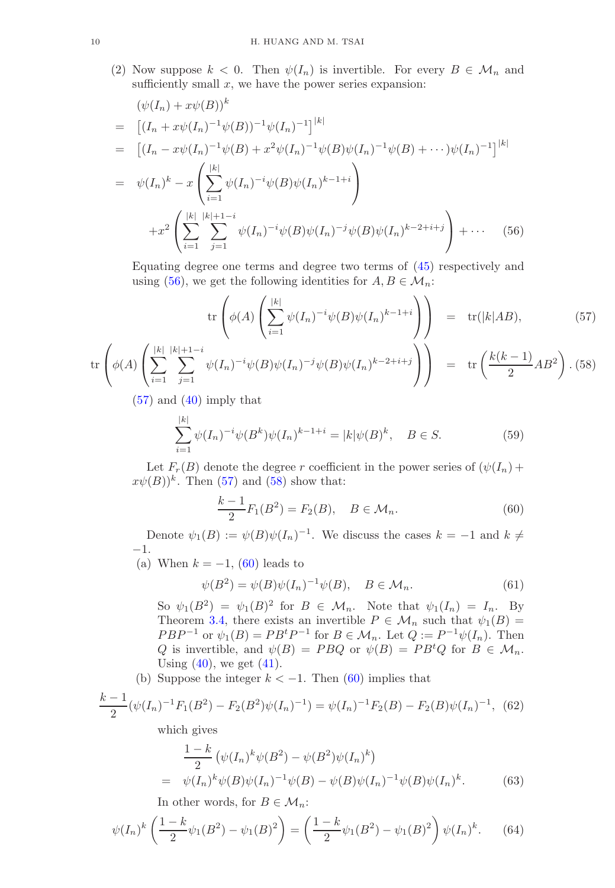(2) Now suppose  $k < 0$ . Then  $\psi(I_n)$  is invertible. For every  $B \in \mathcal{M}_n$  and sufficiently small  $x$ , we have the power series expansion:

<span id="page-9-0"></span>
$$
(\psi(I_n) + x\psi(B))^k
$$
  
\n
$$
= [(I_n + x\psi(I_n)^{-1}\psi(B))^{-1}\psi(I_n)^{-1}]^{|k|}
$$
  
\n
$$
= [(I_n - x\psi(I_n)^{-1}\psi(B) + x^2\psi(I_n)^{-1}\psi(B)\psi(I_n)^{-1}\psi(B) + \cdots)\psi(I_n)^{-1}]^{|k|}
$$
  
\n
$$
= \psi(I_n)^k - x\left(\sum_{i=1}^{|k|} \psi(I_n)^{-i}\psi(B)\psi(I_n)^{k-1+i}\right)
$$
  
\n
$$
+ x^2 \left(\sum_{i=1}^{|k|} \sum_{j=1}^{|k|+1-i} \psi(I_n)^{-i}\psi(B)\psi(I_n)^{-j}\psi(B)\psi(I_n)^{k-2+i+j}\right) + \cdots
$$
(56)

Equating degree one terms and degree two terms of [\(45\)](#page-8-0) respectively and using [\(56\)](#page-9-0), we get the following identities for  $A, B \in \mathcal{M}_n$ :

<span id="page-9-1"></span>
$$
\operatorname{tr}\left(\phi(A)\left(\sum_{i=1}^{|k|}\psi(I_n)^{-i}\psi(B)\psi(I_n)^{k-1+i}\right)\right) = \operatorname{tr}(|k|AB),\tag{57}
$$

$$
\operatorname{tr}\left(\phi(A)\left(\sum_{i=1}^{|k|} \sum_{j=1}^{|k|+1-i} \psi(I_n)^{-i} \psi(B) \psi(I_n)^{-j} \psi(B) \psi(I_n)^{k-2+i+j}\right)\right) = \operatorname{tr}\left(\frac{k(k-1)}{2} AB^2\right). (58)
$$

 $(57)$  and  $(40)$  imply that

<span id="page-9-4"></span>
$$
\sum_{i=1}^{|k|} \psi(I_n)^{-i} \psi(B^k) \psi(I_n)^{k-1+i} = |k| \psi(B)^k, \quad B \in S.
$$
 (59)

Let  $F_r(B)$  denote the degree r coefficient in the power series of  $(\psi(I_n) +$  $x\psi(B))^k$ . Then [\(57\)](#page-9-1) and [\(58\)](#page-9-1) show that:

<span id="page-9-2"></span>
$$
\frac{k-1}{2}F_1(B^2) = F_2(B), \quad B \in \mathcal{M}_n.
$$
 (60)

Denote  $\psi_1(B) := \psi(B)\psi(I_n)^{-1}$ . We discuss the cases  $k = -1$  and  $k \neq$ −1.

(a) When  $k = -1$ , [\(60\)](#page-9-2) leads to

<span id="page-9-5"></span>
$$
\psi(B^2) = \psi(B)\psi(I_n)^{-1}\psi(B), \quad B \in \mathcal{M}_n.
$$
\n(61)

So  $\psi_1(B^2) = \psi_1(B)^2$  for  $B \in \mathcal{M}_n$ . Note that  $\psi_1(I_n) = I_n$ . By Theorem [3.4,](#page-5-1) there exists an invertible  $P \in \mathcal{M}_n$  such that  $\psi_1(B) =$  $PBP^{-1}$  or  $\psi_1(B) = PB^tP^{-1}$  for  $B \in \mathcal{M}_n$ . Let  $Q := P^{-1}\psi(I_n)$ . Then Q is invertible, and  $\psi(B) = P B Q$  or  $\psi(B) = P B^t Q$  for  $B \in \mathcal{M}_n$ . Using  $(40)$ , we get  $(41)$ .

(b) Suppose the integer  $k < -1$ . Then [\(60\)](#page-9-2) implies that

$$
\frac{k-1}{2}(\psi(I_n)^{-1}F_1(B^2) - F_2(B^2)\psi(I_n)^{-1}) = \psi(I_n)^{-1}F_2(B) - F_2(B)\psi(I_n)^{-1}, \tag{62}
$$

which gives

$$
\frac{1-k}{2} \left( \psi(I_n)^k \psi(B^2) - \psi(B^2) \psi(I_n)^k \right)
$$
  
=  $\psi(I_n)^k \psi(B) \psi(I_n)^{-1} \psi(B) - \psi(B) \psi(I_n)^{-1} \psi(B) \psi(I_n)^k.$  (63)

In other words, for  $B \in \mathcal{M}_n$ :

<span id="page-9-3"></span>
$$
\psi(I_n)^k \left(\frac{1-k}{2}\psi_1(B^2) - \psi_1(B)^2\right) = \left(\frac{1-k}{2}\psi_1(B^2) - \psi_1(B)^2\right)\psi(I_n)^k. \tag{64}
$$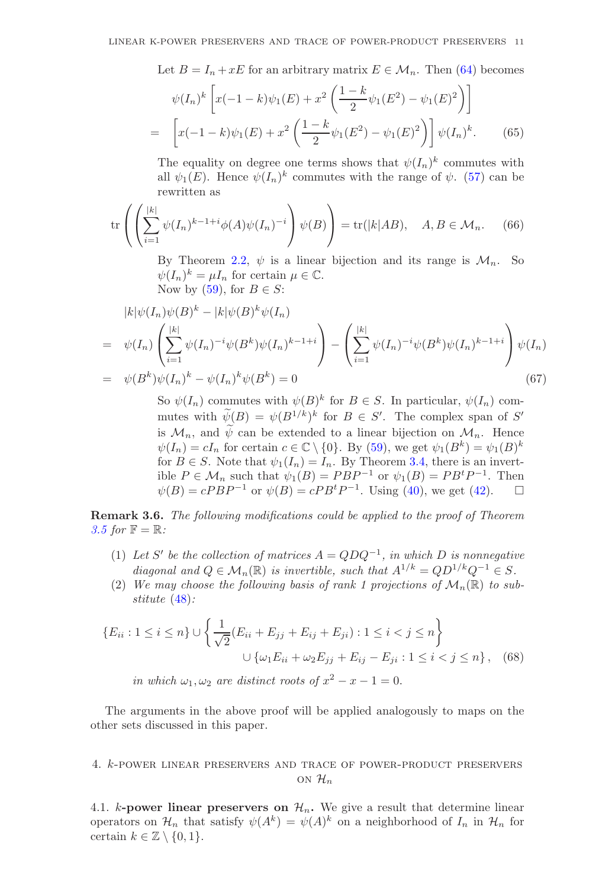Let  $B = I_n + xE$  for an arbitrary matrix  $E \in \mathcal{M}_n$ . Then [\(64\)](#page-9-3) becomes

$$
\psi(I_n)^k \left[ x(-1-k)\psi_1(E) + x^2 \left( \frac{1-k}{2} \psi_1(E^2) - \psi_1(E)^2 \right) \right]
$$
  
= 
$$
\left[ x(-1-k)\psi_1(E) + x^2 \left( \frac{1-k}{2} \psi_1(E^2) - \psi_1(E)^2 \right) \right] \psi(I_n)^k.
$$
 (65)

The equality on degree one terms shows that  $\psi(I_n)^k$  commutes with all  $\psi_1(E)$ . Hence  $\psi(I_n)^k$  commutes with the range of  $\psi$ . [\(57\)](#page-9-1) can be rewritten as

$$
\operatorname{tr}\left(\left(\sum_{i=1}^{|k|} \psi(I_n)^{k-1+i} \phi(A) \psi(I_n)^{-i}\right) \psi(B)\right) = \operatorname{tr}(|k|AB), \quad A, B \in \mathcal{M}_n. \tag{66}
$$

By Theorem [2.2,](#page-4-0)  $\psi$  is a linear bijection and its range is  $\mathcal{M}_n$ . So  $\psi(I_n)^k = \mu I_n$  for certain  $\mu \in \mathbb{C}$ . Now by [\(59\)](#page-9-4), for  $B \in S$ :

$$
|k|\psi(I_n)\psi(B)^k - |k|\psi(B)^k\psi(I_n)
$$
  
=  $\psi(I_n) \left( \sum_{i=1}^{|k|} \psi(I_n)^{-i} \psi(B^k) \psi(I_n)^{k-1+i} \right) - \left( \sum_{i=1}^{|k|} \psi(I_n)^{-i} \psi(B^k) \psi(I_n)^{k-1+i} \right) \psi(I_n)$   
=  $\psi(B^k)\psi(I_n)^k - \psi(I_n)^k \psi(B^k) = 0$  (67)

So  $\psi(I_n)$  commutes with  $\psi(B)^k$  for  $B \in S$ . In particular,  $\psi(I_n)$  commutes with  $\psi(B) = \psi(B^{1/k})^k$  for  $B \in S'$ . The complex span of S' is  $\mathcal{M}_n$ , and  $\tilde{\psi}$  can be extended to a linear bijection on  $\mathcal{M}_n$ . Hence  $\psi(I_n) = cI_n$  for certain  $c \in \mathbb{C} \setminus \{0\}$ . By [\(59\)](#page-9-4), we get  $\psi_1(B^k) = \psi_1(B)^k$ for  $B \in S$ . Note that  $\psi_1(I_n) = I_n$ . By Theorem [3.4,](#page-5-1) there is an invertible  $P \in \mathcal{M}_n$  such that  $\psi_1(B) = PBP^{-1}$  or  $\psi_1(B) = PB^tP^{-1}$ . Then  $\psi(B) = cPBP^{-1}$  or  $\psi(B) = cPB^tP^{-1}$ . Using [\(40\)](#page-7-2), we get [\(42\)](#page-7-3).  $\square$ 

Remark 3.6. *The following modifications could be applied to the proof of Theorem [3.5](#page-7-0) for*  $\mathbb{F} = \mathbb{R}$ *:* 

- (1) Let S' be the collection of matrices  $A = QDQ^{-1}$ , in which D is nonnegative *diagonal and*  $Q \in \mathcal{M}_n(\mathbb{R})$  *is invertible, such that*  $A^{1/k} = QD^{1/k}Q^{-1} \in S$ .
- (2) We may choose the following basis of rank 1 projections of  $\mathcal{M}_n(\mathbb{R})$  to sub*stitute* [\(48\)](#page-8-3)*:*

$$
\{E_{ii} : 1 \le i \le n\} \cup \left\{\frac{1}{\sqrt{2}}(E_{ii} + E_{jj} + E_{ij} + E_{ji}) : 1 \le i < j \le n\right\}
$$

$$
\cup \left\{\omega_1 E_{ii} + \omega_2 E_{jj} + E_{ij} - E_{ji} : 1 \le i < j \le n\right\}, \quad (68)
$$

*in which*  $\omega_1, \omega_2$  *are distinct roots of*  $x^2 - x - 1 = 0$ .

The arguments in the above proof will be applied analogously to maps on the other sets discussed in this paper.

4. k-power linear preservers and trace of power-product preservers ON  $\mathcal{H}_n$ 

4.1. k-power linear preservers on  $\mathcal{H}_n$ . We give a result that determine linear operators on  $\mathcal{H}_n$  that satisfy  $\psi(A^k) = \psi(A)^k$  on a neighborhood of  $I_n$  in  $\mathcal{H}_n$  for certain  $k \in \mathbb{Z} \setminus \{0, 1\}.$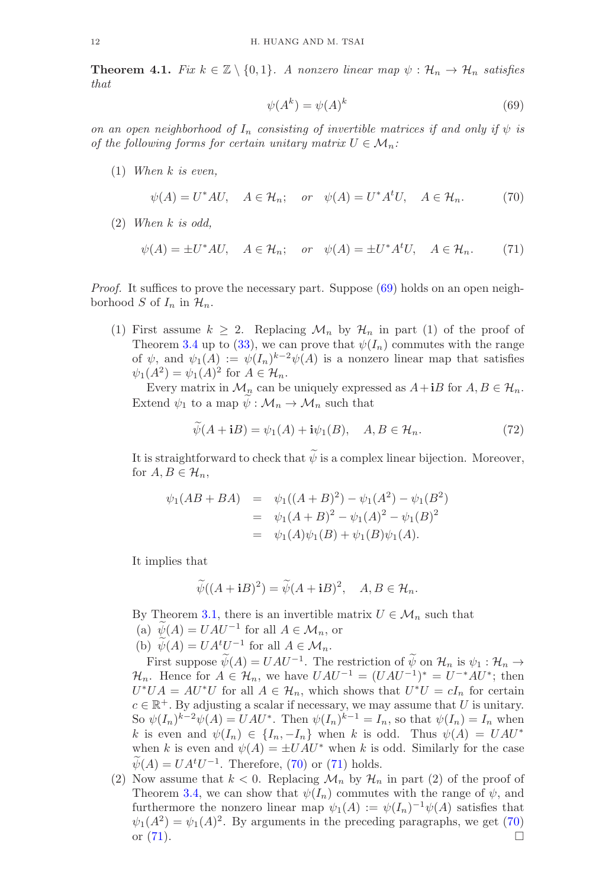<span id="page-11-0"></span>**Theorem 4.1.** *Fix*  $k \in \mathbb{Z} \setminus \{0,1\}$ . A nonzero linear map  $\psi : \mathcal{H}_n \to \mathcal{H}_n$  satisfies *that*

<span id="page-11-1"></span>
$$
\psi(A^k) = \psi(A)^k \tag{69}
$$

*on an open neighborhood of*  $I_n$  *consisting of invertible matrices if and only if*  $\psi$  *is of the following forms for certain unitary matrix*  $U \in \mathcal{M}_n$ :

(1) *When* k *is even,*

<span id="page-11-2"></span>
$$
\psi(A) = U^*AU, \quad A \in \mathcal{H}_n; \quad or \quad \psi(A) = U^*A^tU, \quad A \in \mathcal{H}_n. \tag{70}
$$

(2) *When* k *is odd,*

<span id="page-11-3"></span>
$$
\psi(A) = \pm U^*AU, \quad A \in \mathcal{H}_n; \quad or \quad \psi(A) = \pm U^*A^tU, \quad A \in \mathcal{H}_n. \tag{71}
$$

*Proof.* It suffices to prove the necessary part. Suppose [\(69\)](#page-11-1) holds on an open neighborhood S of  $I_n$  in  $\mathcal{H}_n$ .

(1) First assume  $k \geq 2$ . Replacing  $\mathcal{M}_n$  by  $\mathcal{H}_n$  in part (1) of the proof of Theorem [3.4](#page-5-1) up to [\(33\)](#page-6-3), we can prove that  $\psi(I_n)$  commutes with the range of  $\psi$ , and  $\psi_1(A) := \psi(I_n)^{k-2} \psi(A)$  is a nonzero linear map that satisfies  $\psi_1(A^2) = \psi_1(A)^2$  for  $A \in \mathcal{H}_n$ .

Every matrix in  $\mathcal{M}_n$  can be uniquely expressed as  $A + iB$  for  $A, B \in \mathcal{H}_n$ . Extend  $\psi_1$  to a map  $\psi : \mathcal{M}_n \to \mathcal{M}_n$  such that

$$
\widetilde{\psi}(A + iB) = \psi_1(A) + i\psi_1(B), \quad A, B \in \mathcal{H}_n.
$$
\n(72)

It is straightforward to check that  $\psi$  is a complex linear bijection. Moreover, for  $A, B \in \mathcal{H}_n$ ,

$$
\psi_1(AB+BA) = \psi_1((A+B)^2) - \psi_1(A^2) - \psi_1(B^2)
$$
  
=  $\psi_1(A+B)^2 - \psi_1(A)^2 - \psi_1(B)^2$   
=  $\psi_1(A)\psi_1(B) + \psi_1(B)\psi_1(A)$ .

It implies that

$$
\widetilde{\psi}((A+\mathbf{i}B)^2) = \widetilde{\psi}(A+\mathbf{i}B)^2, \quad A, B \in \mathcal{H}_n.
$$

By Theorem [3.1,](#page-5-0) there is an invertible matrix  $U \in \mathcal{M}_n$  such that

- (a)  $\psi(A) = UAU^{-1}$  for all  $A \in \mathcal{M}_n$ , or
- (b)  $\psi(A) = UA^tU^{-1}$  for all  $A \in \mathcal{M}_n$ .

First suppose  $\psi(A) = UAU^{-1}$ . The restriction of  $\psi$  on  $\mathcal{H}_n$  is  $\psi_1 : \mathcal{H}_n \to$  $\mathcal{H}_n$ . Hence for  $A \in \mathcal{H}_n$ , we have  $UAU^{-1} = (UAU^{-1})^* = U^{-*}AU^*$ ; then  $U^*UA = AU^*U$  for all  $A \in \mathcal{H}_n$ , which shows that  $U^*U = cI_n$  for certain  $c \in \mathbb{R}^+$ . By adjusting a scalar if necessary, we may assume that U is unitary. So  $\psi(I_n)^{k-2}\psi(A) = UAU^*$ . Then  $\psi(I_n)^{k-1} = I_n$ , so that  $\psi(I_n) = I_n$  when k is even and  $\psi(I_n) \in \{I_n, -I_n\}$  when k is odd. Thus  $\psi(A) = UAU^*$ when k is even and  $\psi(A) = \pm UAU^*$  when k is odd. Similarly for the case  $\psi(A) = UA<sup>t</sup>U<sup>-1</sup>$ . Therefore, [\(70\)](#page-11-2) or [\(71\)](#page-11-3) holds.

(2) Now assume that  $k < 0$ . Replacing  $\mathcal{M}_n$  by  $\mathcal{H}_n$  in part (2) of the proof of Theorem [3.4,](#page-5-1) we can show that  $\psi(I_n)$  commutes with the range of  $\psi$ , and furthermore the nonzero linear map  $\psi_1(A) := \psi(I_n)^{-1} \psi(A)$  satisfies that  $\psi_1(A^2) = \psi_1(A)^2$ . By arguments in the preceding paragraphs, we get [\(70\)](#page-11-2) or  $(71)$ .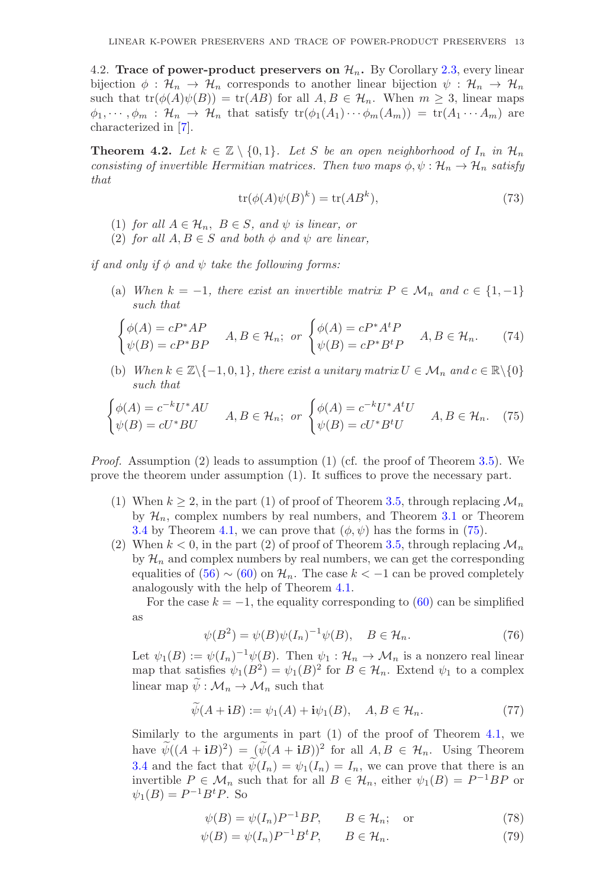4.2. Trace of power-product preservers on  $\mathcal{H}_n$ . By Corollary [2.3,](#page-4-1) every linear bijection  $\phi : \mathcal{H}_n \to \mathcal{H}_n$  corresponds to another linear bijection  $\psi : \mathcal{H}_n \to \mathcal{H}_n$ such that  $tr(\phi(A)\psi(B)) = tr(AB)$  for all  $A, B \in \mathcal{H}_n$ . When  $m \geq 3$ , linear maps  $\phi_1, \dots, \phi_m : \mathcal{H}_n \to \mathcal{H}_n$  that satisfy  $\text{tr}(\phi_1(A_1) \cdots \phi_m(A_m)) = \text{tr}(A_1 \cdots A_m)$  are characterized in [\[7\]](#page-20-17).

<span id="page-12-0"></span>**Theorem 4.2.** Let  $k \in \mathbb{Z} \setminus \{0,1\}$ . Let S be an open neighborhood of  $I_n$  in  $\mathcal{H}_n$ *consisting of invertible Hermitian matrices. Then two maps*  $\phi, \psi : \mathcal{H}_n \to \mathcal{H}_n$  *satisfy that*

$$
tr(\phi(A)\psi(B)^k) = tr(AB^k),\tag{73}
$$

- (1) *for all*  $A \in \mathcal{H}_n$ ,  $B \in S$ , and  $\psi$  *is linear, or*
- (2) *for all*  $A, B \in S$  *and both*  $\phi$  *and*  $\psi$  *are linear,*

*if and only if*  $\phi$  *and*  $\psi$  *take the following forms:* 

(a) *When*  $k = -1$ *, there exist an invertible matrix*  $P \in \mathcal{M}_n$  *and*  $c \in \{1, -1\}$ *such that*

<span id="page-12-2"></span>
$$
\begin{cases}\n\phi(A) = cP^*AP \\
\psi(B) = cP^*BP\n\end{cases}\nA, B \in \mathcal{H}_n;\n\text{ or }\n\begin{cases}\n\phi(A) = cP^*A^tP \\
\psi(B) = cP^*B^tP\n\end{cases}\nA, B \in \mathcal{H}_n.\n\tag{74}
$$

(b) *When*  $k \in \mathbb{Z} \setminus \{-1, 0, 1\}$ *, there exist a unitary matrix*  $U \in \mathcal{M}_n$  *and*  $c \in \mathbb{R} \setminus \{0\}$ *such that*

<span id="page-12-1"></span>
$$
\begin{cases}\n\phi(A) = c^{-k}U^*AU & A, B \in \mathcal{H}_n;\ \text{or}\ \begin{cases}\n\phi(A) = c^{-k}U^*A^tU \\
\psi(B) = cU^*BU\n\end{cases}\n\quad A, B \in \mathcal{H}_n.\n\end{cases}
$$
\n(75)

*Proof.* Assumption (2) leads to assumption (1) (cf. the proof of Theorem [3.5\)](#page-7-0). We prove the theorem under assumption (1). It suffices to prove the necessary part.

- (1) When  $k \geq 2$ , in the part (1) of proof of Theorem [3.5,](#page-7-0) through replacing  $\mathcal{M}_n$ by  $\mathcal{H}_n$ , complex numbers by real numbers, and Theorem [3.1](#page-5-0) or Theorem [3.4](#page-5-1) by Theorem [4.1,](#page-11-0) we can prove that  $(\phi, \psi)$  has the forms in [\(75\)](#page-12-1).
- (2) When  $k < 0$ , in the part (2) of proof of Theorem [3.5,](#page-7-0) through replacing  $\mathcal{M}_n$ by  $\mathcal{H}_n$  and complex numbers by real numbers, we can get the corresponding equalities of  $(56) \sim (60)$  $(56) \sim (60)$  on  $\mathcal{H}_n$ . The case  $k < -1$  can be proved completely analogously with the help of Theorem [4.1.](#page-11-0)

For the case  $k = -1$ , the equality corresponding to [\(60\)](#page-9-2) can be simplified as

$$
\psi(B^2) = \psi(B)\psi(I_n)^{-1}\psi(B), \quad B \in \mathcal{H}_n.
$$
\n(76)

Let  $\psi_1(B) := \psi(I_n)^{-1} \psi(B)$ . Then  $\psi_1 : \mathcal{H}_n \to \mathcal{M}_n$  is a nonzero real linear map that satisfies  $\psi_1(B^2) = \psi_1(B)^2$  for  $B \in \mathcal{H}_n$ . Extend  $\psi_1$  to a complex linear map  $\widetilde{\psi}: \mathcal{M}_n \to \mathcal{M}_n$  such that

$$
\tilde{\psi}(A + iB) := \psi_1(A) + i\psi_1(B), \quad A, B \in \mathcal{H}_n.
$$
\n(77)

Similarly to the arguments in part (1) of the proof of Theorem [4.1,](#page-11-0) we have  $\psi((A + iB)^2) = (\psi(A + iB))^2$  for all  $A, B \in \mathcal{H}_n$ . Using Theorem [3.4](#page-5-1) and the fact that  $\psi(I_n) = \psi_1(I_n) = I_n$ , we can prove that there is an invertible  $P \in \mathcal{M}_n$  such that for all  $B \in \mathcal{H}_n$ , either  $\psi_1(B) = P^{-1}BP$  or  $\psi_1(B) = P^{-1}B^tP.$  So

 $\psi(B) = \psi(I_n)P^{-1}BP, \qquad B \in \mathcal{H}_n; \quad \text{or}$ (78)

$$
\psi(B) = \psi(I_n)P^{-1}B^tP, \qquad B \in \mathcal{H}_n. \tag{79}
$$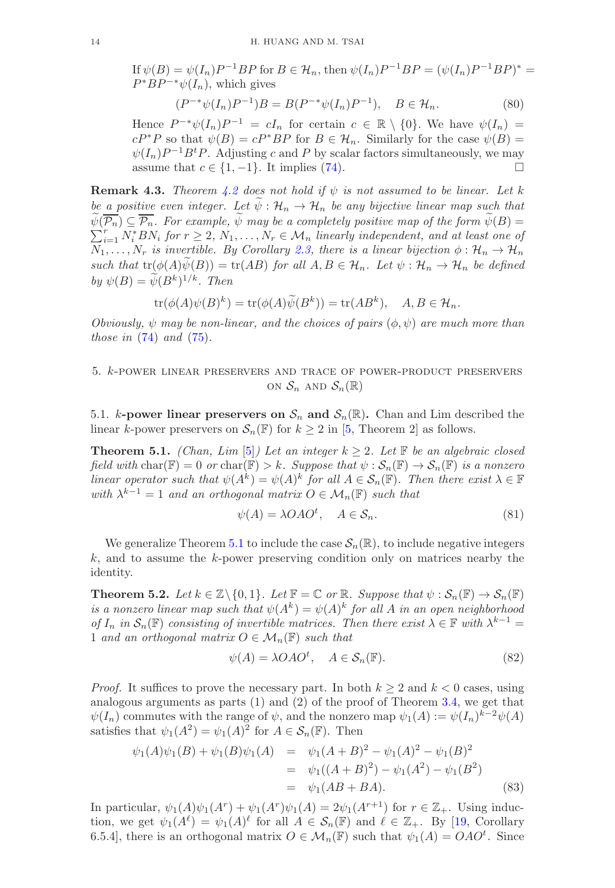If  $\psi(B) = \psi(I_n)P^{-1}BP$  for  $B \in \mathcal{H}_n$ , then  $\psi(I_n)P^{-1}BP = (\psi(I_n)P^{-1}BP)^*$  $P^*BP^{-*}\psi(I_n)$ , which gives

$$
(P^{-*}\psi(I_n)P^{-1})B = B(P^{-*}\psi(I_n)P^{-1}), \quad B \in \mathcal{H}_n.
$$
 (80)

Hence  $P^{-*}\psi(I_n)P^{-1} = cI_n$  for certain  $c \in \mathbb{R} \setminus \{0\}$ . We have  $\psi(I_n) =$  $cP^*P$  so that  $\psi(B) = cP^*BP$  for  $B \in \mathcal{H}_n$ . Similarly for the case  $\psi(B) =$  $\psi(I_n)P^{-1}B^tP$ . Adjusting c and P by scalar factors simultaneously, we may assume that  $c \in \{1, -1\}$ . It implies [\(74\)](#page-12-2). □

**Remark 4.3.** *Theorem [4.2](#page-12-0) does not hold if*  $\psi$  *is not assumed to be linear. Let* k *be a positive even integer. Let*  $\widetilde{\psi}: \mathcal{H}_n \to \mathcal{H}_n$  *be any bijective linear map such that*  $\sum_{i=1}^r N_i^* BN_i$  for  $r \geq 2$ ,  $N_1, \ldots, N_r \in \mathcal{M}_n$  *linearly independent, and at least one of*  $\widetilde{\psi}(\overline{\mathcal{P}_n}) \subseteq \overline{\mathcal{P}_n}$ . For example,  $\widetilde{\psi}$  may be a completely positive map of the form  $\widetilde{\psi}(B)$  =  $N_1, \ldots, N_r$  *is invertible. By Corollary [2.3,](#page-4-1) there is a linear bijection*  $\phi : \mathcal{H}_n \to \mathcal{H}_n$ *such that*  $tr(\phi(A)\psi(B)) = tr(AB)$  *for all*  $A, B \in \mathcal{H}_n$ *. Let*  $\psi : \mathcal{H}_n \to \mathcal{H}_n$  *be defined* by  $\psi(B) = \psi(B^k)^{1/k}$ . *Then* 

$$
\operatorname{tr}(\phi(A)\psi(B)^k) = \operatorname{tr}(\phi(A)\widetilde{\psi}(B^k)) = \operatorname{tr}(AB^k), \quad A, B \in \mathcal{H}_n.
$$

*Obviously,*  $\psi$  *may be non-linear, and the choices of pairs*  $(\phi, \psi)$  *are much more than those in* [\(74\)](#page-12-2) *and* [\(75\)](#page-12-1)*.*

## 5. k-power linear preservers and trace of power-product preservers ON  $S_n$  AND  $S_n(\mathbb{R})$

5.1. k-power linear preservers on  $S_n$  and  $S_n(\mathbb{R})$ . Chan and Lim described the linear k-power preservers on  $\mathcal{S}_n(\mathbb{F})$  for  $k \geq 2$  in [\[5,](#page-20-4) Theorem 2] as follows.

<span id="page-13-0"></span>**Theorem 5.1.** *(Chan, Lim* [\[5\]](#page-20-4)*) Let an integer*  $k \geq 2$ *. Let*  $\mathbb{F}$  *be an algebraic closed field with*  $char(\mathbb{F}) = 0$  *or*  $char(\mathbb{F}) > k$ *. Suppose that*  $\psi : \mathcal{S}_n(\mathbb{F}) \to \mathcal{S}_n(\mathbb{F})$  *is a nonzero linear operator such that*  $\psi(A^k) = \psi(A)^k$  *for all*  $A \in S_n(\mathbb{F})$ *. Then there exist*  $\lambda \in \mathbb{F}$ *with*  $\lambda^{k-1} = 1$  *and an orthogonal matrix*  $O \in \mathcal{M}_n(\mathbb{F})$  *such that* 

$$
\psi(A) = \lambda O A O^t, \quad A \in \mathcal{S}_n. \tag{81}
$$

We generalize Theorem [5.1](#page-13-0) to include the case  $\mathcal{S}_n(\mathbb{R})$ , to include negative integers  $k$ , and to assume the  $k$ -power preserving condition only on matrices nearby the identity.

<span id="page-13-1"></span>**Theorem 5.2.** Let  $k \in \mathbb{Z} \setminus \{0, 1\}$ . Let  $\mathbb{F} = \mathbb{C}$  or  $\mathbb{R}$ . Suppose that  $\psi : \mathcal{S}_n(\mathbb{F}) \to \mathcal{S}_n(\mathbb{F})$ *is a nonzero linear map such that*  $\psi(A^k) = \psi(A)^k$  *for all* A *in an open neighborhood of*  $I_n$  in  $\mathcal{S}_n(\mathbb{F})$  *consisting of invertible matrices. Then there exist*  $\lambda \in \mathbb{F}$  *with*  $\lambda^{k-1} =$ 1 *and an orthogonal matrix*  $O \in \mathcal{M}_n(\mathbb{F})$  *such that* 

<span id="page-13-2"></span>
$$
\psi(A) = \lambda OAO^t, \quad A \in \mathcal{S}_n(\mathbb{F}).
$$
\n(82)

*Proof.* It suffices to prove the necessary part. In both  $k \geq 2$  and  $k < 0$  cases, using analogous arguments as parts (1) and (2) of the proof of Theorem [3.4,](#page-5-1) we get that  $\psi(I_n)$  commutes with the range of  $\psi$ , and the nonzero map  $\psi_1(A) := \psi(I_n)^{k-2} \psi(A)$ satisfies that  $\psi_1(A^2) = \psi_1(A)^2$  for  $A \in \mathcal{S}_n(\mathbb{F})$ . Then

$$
\psi_1(A)\psi_1(B) + \psi_1(B)\psi_1(A) = \psi_1(A+B)^2 - \psi_1(A)^2 - \psi_1(B)^2
$$
  
= 
$$
\psi_1((A+B)^2) - \psi_1(A^2) - \psi_1(B^2)
$$
  
= 
$$
\psi_1(AB+BA). \tag{83}
$$

In particular,  $\psi_1(A)\psi_1(A^r) + \psi_1(A^r)\psi_1(A) = 2\psi_1(A^{r+1})$  for  $r \in \mathbb{Z}_+$ . Using induction, we get  $\psi_1(A^{\ell}) = \psi_1(A)^{\ell}$  for all  $A \in \mathcal{S}_n(\mathbb{F})$  and  $\ell \in \mathbb{Z}_+$ . By [\[19,](#page-20-5) Corollary 6.5.4], there is an orthogonal matrix  $O \in \mathcal{M}_n(\mathbb{F})$  such that  $\psi_1(A) = OAO^t$ . Since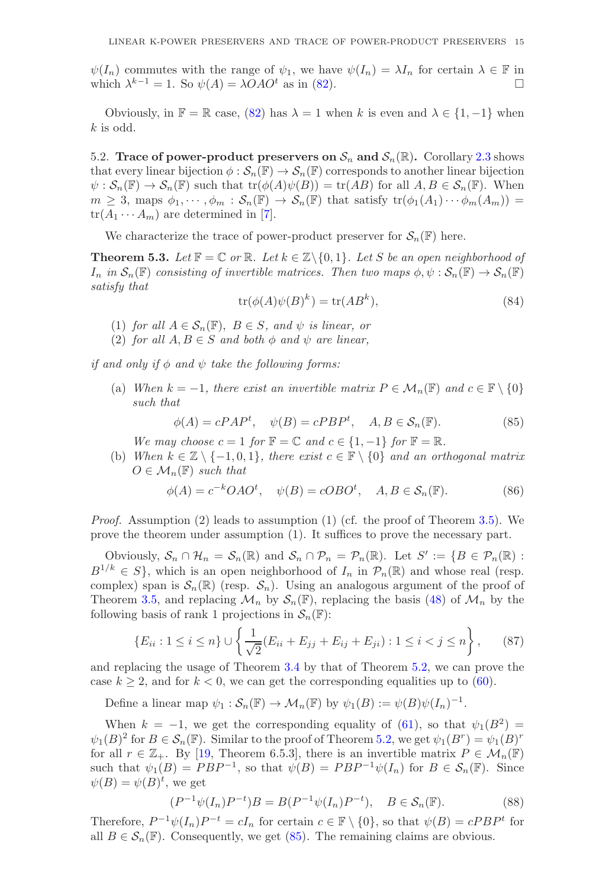$\psi(I_n)$  commutes with the range of  $\psi_1$ , we have  $\psi(I_n) = \lambda I_n$  for certain  $\lambda \in \mathbb{F}$  in which  $\lambda^{k-1} - 1$  So  $\psi(A) - \lambda OA O^t$  as in (82) which  $\lambda^{k-1} = 1$ . So  $\psi(A) = \lambda O A O^t$  as in [\(82\)](#page-13-2).

Obviously, in  $\mathbb{F} = \mathbb{R}$  case, [\(82\)](#page-13-2) has  $\lambda = 1$  when k is even and  $\lambda \in \{1, -1\}$  when  $k$  is odd.

5.2. Trace of power-product preservers on  $S_n$  and  $S_n(\mathbb{R})$ . Corollary [2.3](#page-4-1) shows that every linear bijection  $\phi : \mathcal{S}_n(\mathbb{F}) \to \mathcal{S}_n(\mathbb{F})$  corresponds to another linear bijection  $\psi: \mathcal{S}_n(\mathbb{F}) \to \mathcal{S}_n(\mathbb{F})$  such that  $\text{tr}(\phi(A)\psi(B)) = \text{tr}(AB)$  for all  $A, B \in \mathcal{S}_n(\mathbb{F})$ . When  $m \geq 3$ , maps  $\phi_1, \cdots, \phi_m : \mathcal{S}_n(\mathbb{F}) \to \mathcal{S}_n(\mathbb{F})$  that satisfy  $\text{tr}(\phi_1(A_1) \cdots \phi_m(A_m)) =$  $\text{tr}(A_1 \cdots A_m)$  are determined in [\[7\]](#page-20-17).

We characterize the trace of power-product preserver for  $\mathcal{S}_n(\mathbb{F})$  here.

<span id="page-14-0"></span>**Theorem 5.3.** Let  $\mathbb{F} = \mathbb{C}$  or  $\mathbb{R}$ *. Let*  $k \in \mathbb{Z} \setminus \{0,1\}$ *. Let* S *be an open neighborhood of*  $I_n$  *in*  $\mathcal{S}_n(\mathbb{F})$  *consisting of invertible matrices. Then two maps*  $\phi, \psi : \mathcal{S}_n(\mathbb{F}) \to \mathcal{S}_n(\mathbb{F})$ *satisfy that*

$$
tr(\phi(A)\psi(B)^k) = tr(AB^k),\tag{84}
$$

- (1) *for all*  $A \in \mathcal{S}_n(\mathbb{F})$ ,  $B \in S$ *, and*  $\psi$  *is linear, or*
- (2) *for all*  $A, B \in S$  *and both*  $\phi$  *and*  $\psi$  *are linear,*

*if and only if*  $\phi$  *and*  $\psi$  *take the following forms:* 

(a) *When*  $k = -1$ , there exist an invertible matrix  $P \in \mathcal{M}_n(\mathbb{F})$  and  $c \in \mathbb{F} \setminus \{0\}$ *such that*

<span id="page-14-1"></span>
$$
\phi(A) = cPAP^t, \quad \psi(B) = cPBP^t, \quad A, B \in \mathcal{S}_n(\mathbb{F}).
$$
\n(85)

- *We may choose*  $c = 1$  *for*  $\mathbb{F} = \mathbb{C}$  *and*  $c \in \{1, -1\}$  *for*  $\mathbb{F} = \mathbb{R}$ *.*
- (b) *When*  $k \in \mathbb{Z} \setminus \{-1, 0, 1\}$ *, there exist*  $c \in \mathbb{F} \setminus \{0\}$  *and an orthogonal matrix*  $O \in \mathcal{M}_n(\mathbb{F})$  *such that*

<span id="page-14-2"></span>
$$
\phi(A) = c^{-k}OAO^t, \quad \psi(B) = cOBO^t, \quad A, B \in \mathcal{S}_n(\mathbb{F}).
$$
\n(86)

*Proof.* Assumption (2) leads to assumption (1) (cf. the proof of Theorem [3.5\)](#page-7-0). We prove the theorem under assumption (1). It suffices to prove the necessary part.

Obviously,  $S_n \cap \mathcal{H}_n = S_n(\mathbb{R})$  and  $S_n \cap \mathcal{P}_n = \mathcal{P}_n(\mathbb{R})$ . Let  $S' := \{ B \in \mathcal{P}_n(\mathbb{R}) :$  $B^{1/k} \in S$ , which is an open neighborhood of  $I_n$  in  $\mathcal{P}_n(\mathbb{R})$  and whose real (resp. complex) span is  $S_n(\mathbb{R})$  (resp.  $S_n$ ). Using an analogous argument of the proof of Theorem [3.5,](#page-7-0) and replacing  $\mathcal{M}_n$  by  $\mathcal{S}_n(\mathbb{F})$ , replacing the basis [\(48\)](#page-8-3) of  $\mathcal{M}_n$  by the following basis of rank 1 projections in  $\mathcal{S}_n(\mathbb{F})$ :

$$
\{E_{ii} : 1 \le i \le n\} \cup \left\{\frac{1}{\sqrt{2}}(E_{ii} + E_{jj} + E_{ij} + E_{ji}) : 1 \le i < j \le n\right\},\qquad(87)
$$

and replacing the usage of Theorem [3.4](#page-5-1) by that of Theorem [5.2,](#page-13-1) we can prove the case  $k \geq 2$ , and for  $k < 0$ , we can get the corresponding equalities up to [\(60\)](#page-9-2).

Define a linear map  $\psi_1 : \mathcal{S}_n(\mathbb{F}) \to \mathcal{M}_n(\mathbb{F})$  by  $\psi_1(B) := \psi(B)\psi(I_n)^{-1}$ .

When  $k = -1$ , we get the corresponding equality of [\(61\)](#page-9-5), so that  $\psi_1(B^2) =$  $\psi_1(B)^2$  for  $B \in \mathcal{S}_n(\mathbb{F})$ . Similar to the proof of Theorem [5.2,](#page-13-1) we get  $\psi_1(B^r) = \psi_1(B)^r$ for all  $r \in \mathbb{Z}_+$ . By [\[19,](#page-20-5) Theorem 6.5.3], there is an invertible matrix  $P \in \mathcal{M}_n(\mathbb{F})$ such that  $\psi_1(B) = PBP^{-1}$ , so that  $\psi(B) = PBP^{-1}\psi(I_n)$  for  $B \in \mathcal{S}_n(\mathbb{F})$ . Since  $\psi(B) = \psi(B)^t$ , we get

$$
(P^{-1}\psi(I_n)P^{-t})B = B(P^{-1}\psi(I_n)P^{-t}), \quad B \in \mathcal{S}_n(\mathbb{F}).
$$
 (88)

Therefore,  $P^{-1}\psi(I_n)P^{-t} = cI_n$  for certain  $c \in \mathbb{F} \setminus \{0\}$ , so that  $\psi(B) = cPBP^t$  for all  $B \in \mathcal{S}_n(\mathbb{F})$ . Consequently, we get [\(85\)](#page-14-1). The remaining claims are obvious.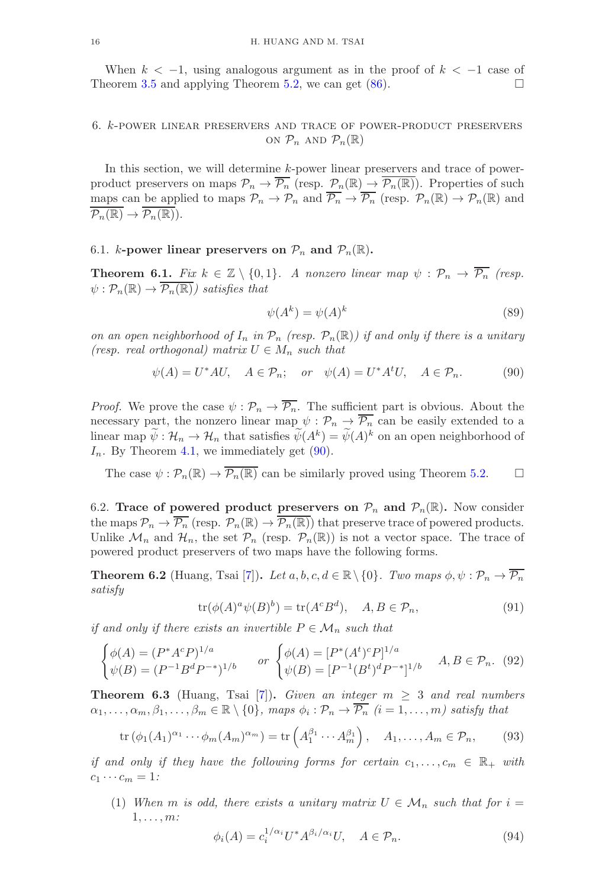When  $k < -1$ , using analogous argument as in the proof of  $k < -1$  case of people of  $k > -1$  case of  $\Box$ Theorem [3.5](#page-7-0) and applying Theorem [5.2,](#page-13-1) we can get [\(86\)](#page-14-2).

# 6. k-power linear preservers and trace of power-product preservers ON  $\mathcal{P}_n$  AND  $\mathcal{P}_n(\mathbb{R})$

In this section, we will determine k-power linear preservers and trace of powerproduct preservers on maps  $\mathcal{P}_n \to \overline{\mathcal{P}_n}$  (resp.  $\mathcal{P}_n(\mathbb{R}) \to \overline{\mathcal{P}_n(\mathbb{R})}$ ). Properties of such maps can be applied to maps  $\mathcal{P}_n \to \mathcal{P}_n$  and  $\overline{\mathcal{P}_n} \to \overline{\mathcal{P}_n}$  (resp.  $\mathcal{P}_n(\mathbb{R}) \to \mathcal{P}_n(\mathbb{R})$  and  $\overline{\mathcal{P}_n(\mathbb{R})}\to \overline{\mathcal{P}_n(\mathbb{R})}).$ 

### 6.1. *k*-power linear preservers on  $\mathcal{P}_n$  and  $\mathcal{P}_n(\mathbb{R})$ .

<span id="page-15-0"></span>**Theorem 6.1.** *Fix*  $k \in \mathbb{Z} \setminus \{0,1\}$ . *A nonzero linear map*  $\psi : \mathcal{P}_n \to \overline{\mathcal{P}_n}$  *(resp.*  $\psi : \mathcal{P}_n(\mathbb{R}) \to \overline{\mathcal{P}_n(\mathbb{R})}$  satisfies that

$$
\psi(A^k) = \psi(A)^k \tag{89}
$$

*on an open neighborhood of*  $I_n$  *in*  $\mathcal{P}_n$  *(resp.*  $\mathcal{P}_n(\mathbb{R})$ *) if and only if there is a unitary (resp. real orthogonal)* matrix  $U \in M_n$  *such that* 

<span id="page-15-2"></span>
$$
\psi(A) = U^*AU, \quad A \in \mathcal{P}_n; \quad or \quad \psi(A) = U^*A^tU, \quad A \in \mathcal{P}_n. \tag{90}
$$

*Proof.* We prove the case  $\psi : \mathcal{P}_n \to \overline{\mathcal{P}_n}$ . The sufficient part is obvious. About the necessary part, the nonzero linear map  $\psi : \mathcal{P}_n \to \overline{\mathcal{P}_n}$  can be easily extended to a linear map  $\psi : \mathcal{H}_n \to \mathcal{H}_n$  that satisfies  $\psi(A^k) = \psi(A)^k$  on an open neighborhood of  $I_n$ . By Theorem [4.1,](#page-11-0) we immediately get  $(90)$ .

The case  $\psi : \mathcal{P}_n(\mathbb{R}) \to \overline{\mathcal{P}_n(\mathbb{R})}$  can be similarly proved using Theorem [5.2.](#page-13-1)

6.2. Trace of powered product preservers on  $\mathcal{P}_n$  and  $\mathcal{P}_n(\mathbb{R})$ . Now consider the maps  $\mathcal{P}_n \to \overline{\mathcal{P}_n}$  (resp.  $\mathcal{P}_n(\mathbb{R}) \to \overline{\mathcal{P}_n(\mathbb{R})}$ ) that preserve trace of powered products. Unlike  $\mathcal{M}_n$  and  $\mathcal{H}_n$ , the set  $\mathcal{P}_n$  (resp.  $\mathcal{P}_n(\mathbb{R})$ ) is not a vector space. The trace of powered product preservers of two maps have the following forms.

<span id="page-15-1"></span>**Theorem 6.2** (Huang, Tsai [\[7\]](#page-20-17)). *Let*  $a, b, c, d \in \mathbb{R} \setminus \{0\}$ . *Two maps*  $\phi, \psi : \mathcal{P}_n \to \overline{\mathcal{P}_n}$ *satisfy*

<span id="page-15-4"></span>
$$
\operatorname{tr}(\phi(A)^a \psi(B)^b) = \operatorname{tr}(A^c B^d), \quad A, B \in \mathcal{P}_n,\tag{91}
$$

*if and only if there exists an invertible*  $P \in \mathcal{M}_n$  *such that* 

$$
\begin{cases}\n\phi(A) = (P^*A^cP)^{1/a} & or \begin{cases}\n\phi(A) = [P^*(A^t)^cP]^{1/a} \\
\psi(B) = (P^{-1}B^dP^{-*})^{1/b}\n\end{cases} & or \begin{cases}\n\phi(A) = [P^*(A^t)^cP]^{1/a} \\
\psi(B) = [P^{-1}(B^t)^dP^{-*}]^{1/b}\n\end{cases} A, B \in \mathcal{P}_n.\n\end{cases} (92)
$$

<span id="page-15-3"></span>**Theorem 6.3** (Huang, Tsai [\[7\]](#page-20-17)). *Given an integer*  $m \geq 3$  *and real numbers*  $\alpha_1, \ldots, \alpha_m, \beta_1, \ldots, \beta_m \in \mathbb{R} \setminus \{0\}, \text{ maps } \phi_i : \mathcal{P}_n \to \overline{\mathcal{P}_n} \text{ } (i = 1, \ldots, m) \text{ satisfy that }$ 

$$
\operatorname{tr}\left(\phi_1(A_1)^{\alpha_1}\cdots\phi_m(A_m)^{\alpha_m}\right) = \operatorname{tr}\left(A_1^{\beta_1}\cdots A_m^{\beta_1}\right), \quad A_1,\ldots,A_m \in \mathcal{P}_n,\tag{93}
$$

*if and only if they have the following forms for certain*  $c_1, \ldots, c_m \in \mathbb{R}_+$  *with*  $c_1 \cdots c_m = 1$ *:* 

(1) When m is odd, there exists a unitary matrix  $U \in \mathcal{M}_n$  such that for  $i =$ 1, . . . , m*:*

$$
\phi_i(A) = c_i^{1/\alpha_i} U^* A^{\beta_i/\alpha_i} U, \quad A \in \mathcal{P}_n.
$$
\n(94)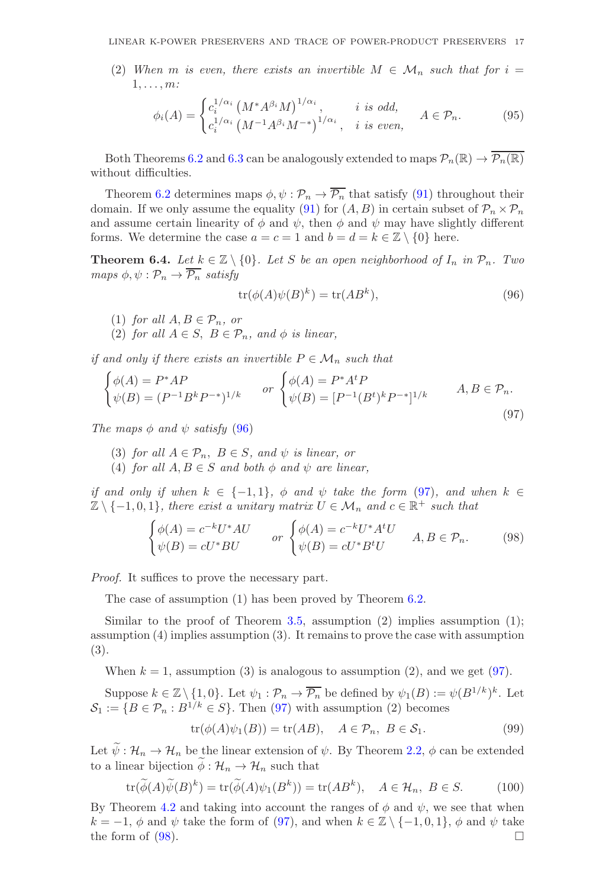(2) When m is even, there exists an invertible  $M \in \mathcal{M}_n$  such that for  $i =$ 1, . . . , m*:*

$$
\phi_i(A) = \begin{cases} c_i^{1/\alpha_i} \left( M^* A^{\beta_i} M \right)^{1/\alpha_i}, & i \text{ is odd,} \\ c_i^{1/\alpha_i} \left( M^{-1} A^{\beta_i} M^{-*} \right)^{1/\alpha_i}, & i \text{ is even,} \end{cases} A \in \mathcal{P}_n.
$$
 (95)

Both Theorems [6.2](#page-15-1) and [6.3](#page-15-3) can be analogously extended to maps  $\mathcal{P}_n(\mathbb{R}) \to \overline{\mathcal{P}_n(\mathbb{R})}$ without difficulties.

Theorem [6.2](#page-15-1) determines maps  $\phi, \psi : \mathcal{P}_n \to \overline{\mathcal{P}_n}$  that satisfy [\(91\)](#page-15-4) throughout their domain. If we only assume the equality [\(91\)](#page-15-4) for  $(A, B)$  in certain subset of  $\mathcal{P}_n \times \mathcal{P}_n$ and assume certain linearity of  $\phi$  and  $\psi$ , then  $\phi$  and  $\psi$  may have slightly different forms. We determine the case  $a = c = 1$  and  $b = d = k \in \mathbb{Z} \setminus \{0\}$  here.

<span id="page-16-0"></span>**Theorem 6.4.** Let  $k \in \mathbb{Z} \setminus \{0\}$ . Let S be an open neighborhood of  $I_n$  in  $\mathcal{P}_n$ . Two *maps*  $\phi, \psi : \mathcal{P}_n \to \overline{\mathcal{P}_n}$  *satisfy* 

<span id="page-16-1"></span>
$$
tr(\phi(A)\psi(B)^k) = tr(AB^k),\tag{96}
$$

- (1) *for all*  $A, B \in \mathcal{P}_n$ *, or*
- (2) *for all*  $A \in S$ ,  $B \in \mathcal{P}_n$ *, and*  $\phi$  *is linear,*

*if and only if there exists an invertible*  $P \in \mathcal{M}_n$  *such that* 

<span id="page-16-2"></span>
$$
\begin{cases}\n\phi(A) = P^*AP \\
\psi(B) = (P^{-1}B^k P^{-*})^{1/k}\n\end{cases}\n\text{ or }\n\begin{cases}\n\phi(A) = P^*A^t P \\
\psi(B) = [P^{-1}(B^t)^k P^{-*}]^{1/k}\n\end{cases}\nA, B \in \mathcal{P}_n.
$$
\n(97)

*The maps*  $\phi$  *and*  $\psi$  *satisfy* [\(96\)](#page-16-1)

- (3) *for all*  $A \in \mathcal{P}_n$ ,  $B \in S$ *, and*  $\psi$  *is linear, or*
- (4) *for all*  $A, B \in S$  *and both*  $\phi$  *and*  $\psi$  *are linear,*

*if and only if when*  $k \in \{-1, 1\}$ ,  $\phi$  *and*  $\psi$  *take the form* [\(97\)](#page-16-2)*, and when*  $k \in$  $\mathbb{Z} \setminus \{-1, 0, 1\}$ , there exist a unitary matrix  $U \in \mathcal{M}_n$  and  $c \in \mathbb{R}^+$  such that

<span id="page-16-3"></span>
$$
\begin{cases}\n\phi(A) = c^{-k}U^*AU & or \begin{cases}\n\phi(A) = c^{-k}U^*A^tU \\
\psi(B) = cU^*BU\n\end{cases} & A, B \in \mathcal{P}_n.\n\end{cases}
$$
\n(98)

*Proof.* It suffices to prove the necessary part.

The case of assumption (1) has been proved by Theorem [6.2.](#page-15-1)

Similar to the proof of Theorem [3.5,](#page-7-0) assumption  $(2)$  implies assumption  $(1)$ ; assumption (4) implies assumption (3). It remains to prove the case with assumption (3).

When  $k = 1$ , assumption (3) is analogous to assumption (2), and we get [\(97\)](#page-16-2).

Suppose  $k \in \mathbb{Z} \setminus \{1, 0\}$ . Let  $\psi_1 : \mathcal{P}_n \to \overline{\mathcal{P}_n}$  be defined by  $\psi_1(B) := \psi(B^{1/k})^k$ . Let  $\mathcal{S}_1 := \{B \in \mathcal{P}_n : B^{1/k} \in S\}$ . Then [\(97\)](#page-16-2) with assumption (2) becomes

$$
tr(\phi(A)\psi_1(B)) = tr(AB), \quad A \in \mathcal{P}_n, B \in \mathcal{S}_1.
$$
 (99)

Let  $\widetilde{\psi}: \mathcal{H}_n \to \mathcal{H}_n$  be the linear extension of  $\psi$ . By Theorem [2.2,](#page-4-0)  $\phi$  can be extended to a linear bijection  $\phi : \mathcal{H}_n \to \mathcal{H}_n$  such that

$$
\operatorname{tr}(\widetilde{\phi}(A)\widetilde{\psi}(B)^k) = \operatorname{tr}(\widetilde{\phi}(A)\psi_1(B^k)) = \operatorname{tr}(AB^k), \quad A \in \mathcal{H}_n, \ B \in S. \tag{100}
$$

By Theorem [4.2](#page-12-0) and taking into account the ranges of  $\phi$  and  $\psi$ , we see that when  $k = -1$ ,  $\phi$  and  $\psi$  take the form of [\(97\)](#page-16-2), and when  $k \in \mathbb{Z} \setminus \{-1, 0, 1\}$ ,  $\phi$  and  $\psi$  take the form of (98). the form of  $(98)$ .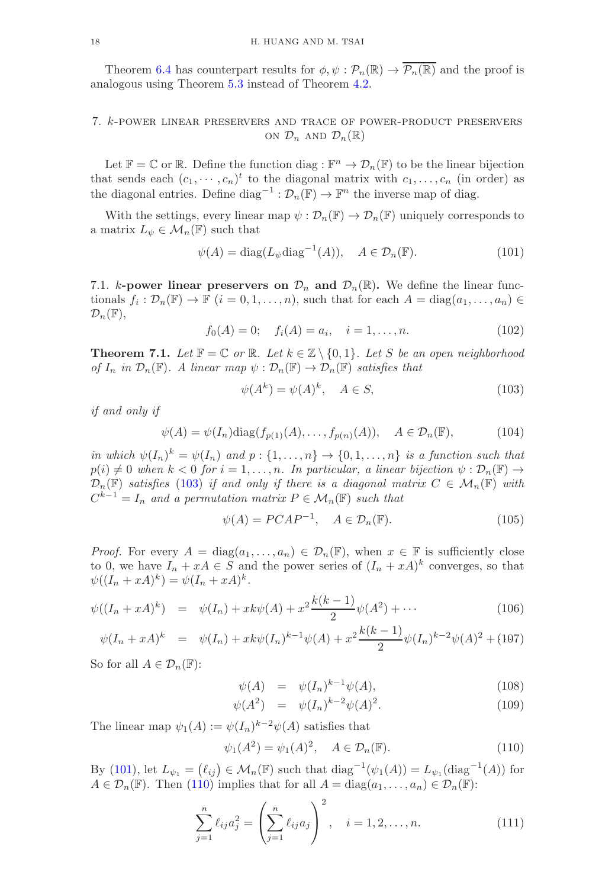Theorem [6.4](#page-16-0) has counterpart results for  $\phi, \psi : \mathcal{P}_n(\mathbb{R}) \to \overline{\mathcal{P}_n(\mathbb{R})}$  and the proof is analogous using Theorem [5.3](#page-14-0) instead of Theorem [4.2.](#page-12-0)

## 7. k-power linear preservers and trace of power-product preservers ON  $\mathcal{D}_n$  AND  $\mathcal{D}_n(\mathbb{R})$

Let  $\mathbb{F} = \mathbb{C}$  or  $\mathbb{R}$ . Define the function diag :  $\mathbb{F}^n \to \mathcal{D}_n(\mathbb{F})$  to be the linear bijection that sends each  $(c_1, \dots, c_n)^t$  to the diagonal matrix with  $c_1, \dots, c_n$  (in order) as the diagonal entries. Define  $diag^{-1} : \mathcal{D}_n(\mathbb{F}) \to \mathbb{F}^n$  the inverse map of diag.

With the settings, every linear map  $\psi : \mathcal{D}_n(\mathbb{F}) \to \mathcal{D}_n(\mathbb{F})$  uniquely corresponds to a matrix  $L_{\psi} \in \mathcal{M}_n(\mathbb{F})$  such that

<span id="page-17-2"></span>
$$
\psi(A) = \text{diag}(L_{\psi}\text{diag}^{-1}(A)), \quad A \in \mathcal{D}_n(\mathbb{F}).
$$
\n(101)

7.1. k-power linear preservers on  $\mathcal{D}_n$  and  $\mathcal{D}_n(\mathbb{R})$ . We define the linear functionals  $f_i: \mathcal{D}_n(\mathbb{F}) \to \mathbb{F}$   $(i = 0, 1, \ldots, n)$ , such that for each  $A = \text{diag}(a_1, \ldots, a_n) \in \mathbb{F}$  $\mathcal{D}_n(\mathbb{F}),$ 

$$
f_0(A) = 0; \quad f_i(A) = a_i, \quad i = 1, \dots, n. \tag{102}
$$

<span id="page-17-0"></span>**Theorem 7.1.** Let  $\mathbb{F} = \mathbb{C}$  or  $\mathbb{R}$ . Let  $k \in \mathbb{Z} \setminus \{0,1\}$ . Let S be an open neighborhood *of*  $I_n$  *in*  $\mathcal{D}_n(\mathbb{F})$ *. A linear map*  $\psi : \mathcal{D}_n(\mathbb{F}) \to \mathcal{D}_n(\mathbb{F})$  *satisfies that* 

<span id="page-17-1"></span>
$$
\psi(A^k) = \psi(A)^k, \quad A \in S,\tag{103}
$$

*if and only if*

<span id="page-17-5"></span>
$$
\psi(A) = \psi(I_n) \text{diag}(f_{p(1)}(A), \dots, f_{p(n)}(A)), \quad A \in \mathcal{D}_n(\mathbb{F}),
$$
\n(104)

*in which*  $\psi(I_n)^k = \psi(I_n)$  *and*  $p: \{1, \ldots, n\} \to \{0, 1, \ldots, n\}$  *is a function such that*  $p(i) \neq 0$  when  $k < 0$  for  $i = 1, \ldots, n$ . In particular, a linear bijection  $\psi : \mathcal{D}_n(\mathbb{F}) \to$  $\mathcal{D}_n(\mathbb{F})$  *satisfies* [\(103\)](#page-17-1) *if and only if there is a diagonal matrix*  $C \in \mathcal{M}_n(\mathbb{F})$  *with*  $C^{k-1} = I_n$  and a permutation matrix  $P \in \mathcal{M}_n(\mathbb{F})$  such that

<span id="page-17-6"></span>
$$
\psi(A) = PCAP^{-1}, \quad A \in \mathcal{D}_n(\mathbb{F}). \tag{105}
$$

*Proof.* For every  $A = \text{diag}(a_1, \ldots, a_n) \in \mathcal{D}_n(\mathbb{F})$ , when  $x \in \mathbb{F}$  is sufficiently close to 0, we have  $I_n + xA \in S$  and the power series of  $(I_n + xA)^k$  converges, so that  $\psi((I_n + xA)^k) = \psi(I_n + xA)^k.$ 

$$
\psi((I_n + xA)^k) = \psi(I_n) + xk\psi(A) + x^2 \frac{k(k-1)}{2} \psi(A^2) + \cdots
$$
\n(106)

$$
\psi(I_n + xA)^k = \psi(I_n) + xk\psi(I_n)^{k-1}\psi(A) + x^2\frac{k(k-1)}{2}\psi(I_n)^{k-2}\psi(A)^2 + (107)
$$

So for all  $A \in \mathcal{D}_n(\mathbb{F})$ :

<span id="page-17-4"></span>
$$
\psi(A) = \psi(I_n)^{k-1} \psi(A), \qquad (108)
$$

$$
\psi(A^2) = \psi(I_n)^{k-2} \psi(A)^2.
$$
\n(109)

The linear map  $\psi_1(A) := \psi(I_n)^{k-2} \psi(A)$  satisfies that

<span id="page-17-3"></span>
$$
\psi_1(A^2) = \psi_1(A)^2, \quad A \in \mathcal{D}_n(\mathbb{F}).
$$
\n(110)

By [\(101\)](#page-17-2), let  $L_{\psi_1} = (\ell_{ij}) \in \mathcal{M}_n(\mathbb{F})$  such that  $diag^{-1}(\psi_1(A)) = L_{\psi_1}(\text{diag}^{-1}(A))$  for  $A \in \mathcal{D}_n(\mathbb{F})$ . Then [\(110\)](#page-17-3) implies that for all  $A = \text{diag}(a_1, \ldots, a_n) \in \mathcal{D}_n(\mathbb{F})$ :

$$
\sum_{j=1}^{n} \ell_{ij} a_j^2 = \left(\sum_{j=1}^{n} \ell_{ij} a_j\right)^2, \quad i = 1, 2, \dots, n.
$$
 (111)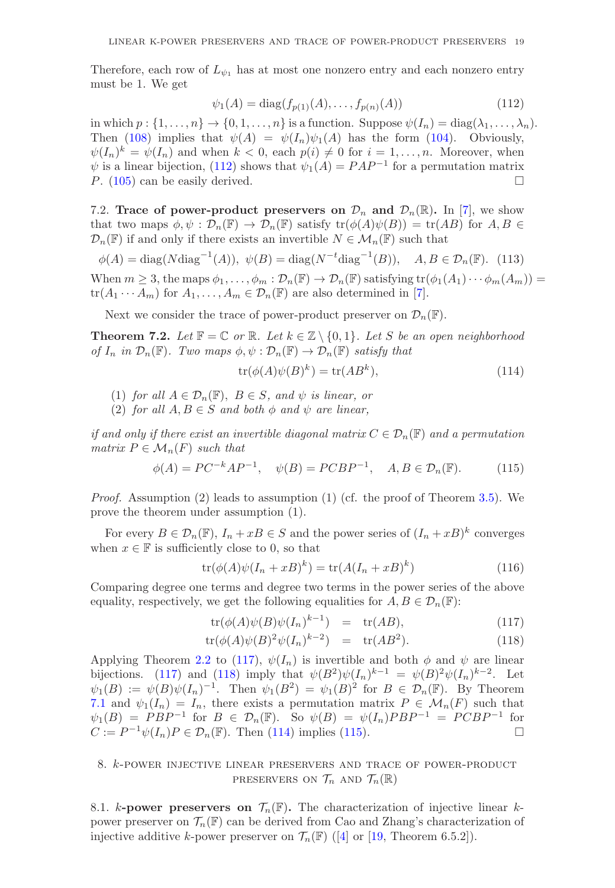Therefore, each row of  $L_{\psi_1}$  has at most one nonzero entry and each nonzero entry must be 1. We get

<span id="page-18-1"></span>
$$
\psi_1(A) = \text{diag}(f_{p(1)}(A), \dots, f_{p(n)}(A))
$$
\n(112)

in which  $p : \{1, \ldots, n\} \to \{0, 1, \ldots, n\}$  is a function. Suppose  $\psi(I_n) = \text{diag}(\lambda_1, \ldots, \lambda_n)$ . Then [\(108\)](#page-17-4) implies that  $\psi(A) = \psi(I_n)\psi_1(A)$  has the form [\(104\)](#page-17-5). Obviously,  $\psi(I_n)^k = \psi(I_n)$  and when  $k < 0$ , each  $p(i) \neq 0$  for  $i = 1, ..., n$ . Moreover, when  $\psi$  is a linear bijection, [\(112\)](#page-18-1) shows that  $\psi_1(A) = PAP^{-1}$  for a permutation matrix P. [\(105\)](#page-17-6) can be easily derived.

7.2. Trace of power-product preservers on  $\mathcal{D}_n$  and  $\mathcal{D}_n(\mathbb{R})$ . In [\[7\]](#page-20-17), we show that two maps  $\phi, \psi : \mathcal{D}_n(\mathbb{F}) \to \mathcal{D}_n(\mathbb{F})$  satisfy  $tr(\phi(A)\psi(B)) = tr(AB)$  for  $A, B \in$  $\mathcal{D}_n(\mathbb{F})$  if and only if there exists an invertible  $N \in \mathcal{M}_n(\mathbb{F})$  such that

$$
\phi(A) = \text{diag}(N\text{diag}^{-1}(A)), \ \psi(B) = \text{diag}(N^{-t}\text{diag}^{-1}(B)), \quad A, B \in \mathcal{D}_n(\mathbb{F}). \tag{113}
$$

When  $m \geq 3$ , the maps  $\phi_1, \ldots, \phi_m : \mathcal{D}_n(\mathbb{F}) \to \mathcal{D}_n(\mathbb{F})$  satisfying  $\text{tr}(\phi_1(A_1) \cdots \phi_m(A_m)) =$  $\text{tr}(A_1 \cdots A_m)$  for  $A_1, \ldots, A_m \in \mathcal{D}_n(\mathbb{F})$  are also determined in [\[7\]](#page-20-17).

Next we consider the trace of power-product preserver on  $\mathcal{D}_n(\mathbb{F})$ .

<span id="page-18-0"></span>**Theorem 7.2.** *Let*  $\mathbb{F} = \mathbb{C}$  *or*  $\mathbb{R}$ *. Let*  $k \in \mathbb{Z} \setminus \{0,1\}$ *. Let* S *be an open neighborhood of*  $I_n$  *in*  $\mathcal{D}_n(\mathbb{F})$ *. Two maps*  $\phi, \psi : \mathcal{D}_n(\mathbb{F}) \to \mathcal{D}_n(\mathbb{F})$  *satisfy that* 

<span id="page-18-3"></span>
$$
\operatorname{tr}(\phi(A)\psi(B)^k) = \operatorname{tr}(AB^k),\tag{114}
$$

- (1) *for all*  $A \in \mathcal{D}_n(\mathbb{F})$ ,  $B \in S$ , and  $\psi$  *is linear, or*
- (2) *for all*  $A, B \in S$  *and both*  $\phi$  *and*  $\psi$  *are linear,*

*if and only if there exist an invertible diagonal matrix*  $C \in \mathcal{D}_n(\mathbb{F})$  *and a permutation matrix*  $P \in \mathcal{M}_n(F)$  *such that* 

<span id="page-18-4"></span>
$$
\phi(A) = PC^{-k}AP^{-1}, \quad \psi(B) = PCBP^{-1}, \quad A, B \in \mathcal{D}_n(\mathbb{F}).
$$
 (115)

*Proof.* Assumption (2) leads to assumption (1) (cf. the proof of Theorem [3.5\)](#page-7-0). We prove the theorem under assumption (1).

For every  $B \in \mathcal{D}_n(\mathbb{F})$ ,  $I_n + xB \in S$  and the power series of  $(I_n + xB)^k$  converges when  $x \in \mathbb{F}$  is sufficiently close to 0, so that

$$
\operatorname{tr}(\phi(A)\psi(I_n + xB)^k) = \operatorname{tr}(A(I_n + xB)^k)
$$
\n(116)

Comparing degree one terms and degree two terms in the power series of the above equality, respectively, we get the following equalities for  $A, B \in \mathcal{D}_n(\mathbb{F})$ :

<span id="page-18-2"></span>
$$
\operatorname{tr}(\phi(A)\psi(B)\psi(I_n)^{k-1}) = \operatorname{tr}(AB),\tag{117}
$$

$$
\operatorname{tr}(\phi(A)\psi(B)^2\psi(I_n)^{k-2}) = \operatorname{tr}(AB^2). \tag{118}
$$

Applying Theorem [2.2](#page-4-0) to [\(117\)](#page-18-2),  $\psi(I_n)$  is invertible and both  $\phi$  and  $\psi$  are linear bijections. [\(117\)](#page-18-2) and [\(118\)](#page-18-2) imply that  $\psi(B^2)\psi(I_n)^{k-1} = \psi(B)^2\psi(I_n)^{k-2}$ . Let  $\psi_1(B) := \psi(B)\psi(I_n)^{-1}$ . Then  $\psi_1(B^2) = \psi_1(B)^2$  for  $B \in \mathcal{D}_n(\mathbb{F})$ . By Theorem [7.1](#page-17-0) and  $\psi_1(I_n) = I_n$ , there exists a permutation matrix  $P \in \mathcal{M}_n(F)$  such that  $\psi_1(B) = PBP^{-1}$  for  $B \in \mathcal{D}_n(\mathbb{F})$ . So  $\psi(B) = \psi(I_n)PBP^{-1} = PCBP^{-1}$  for  $C := P^{-1}\psi(I_n)P \in \mathcal{D}_n(\mathbb{F})$ . Then [\(114\)](#page-18-3) implies [\(115\)](#page-18-4).

# 8. k-power injective linear preservers and trace of power-product PRESERVERS ON  $\mathcal{T}_n$  and  $\mathcal{T}_n(\mathbb{R})$

8.1. k-power preservers on  $\mathcal{T}_n(\mathbb{F})$ . The characterization of injective linear kpower preserver on  $\mathcal{T}_n(\mathbb{F})$  can be derived from Cao and Zhang's characterization of injective additive k-power preserver on  $\mathcal{T}_n(\mathbb{F})$  ([\[4\]](#page-20-11) or [\[19,](#page-20-5) Theorem 6.5.2]).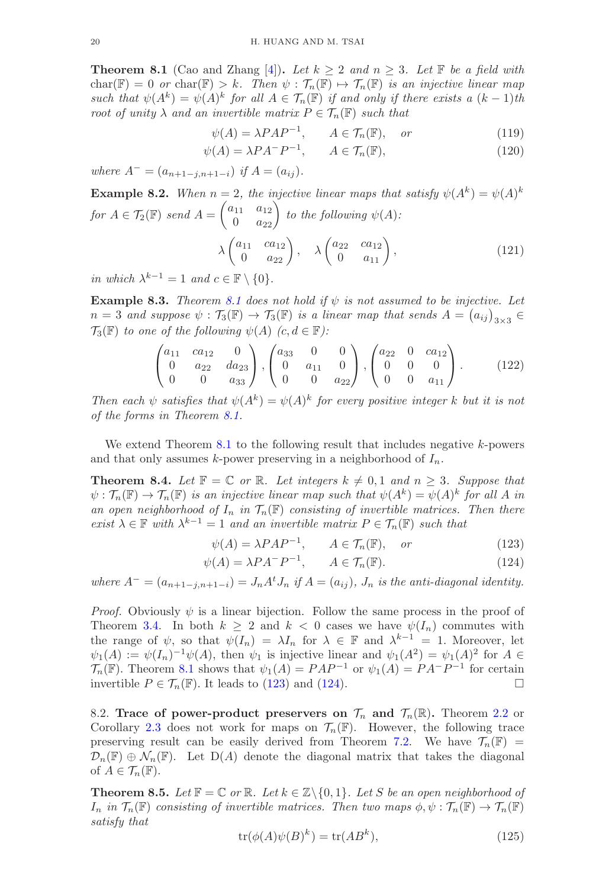<span id="page-19-0"></span>**Theorem 8.1** (Cao and Zhang [\[4\]](#page-20-11)). Let  $k \geq 2$  and  $n \geq 3$ . Let  $\mathbb{F}$  be a field with  $char(\mathbb{F}) = 0$  *or*  $char(\mathbb{F}) > k$ . Then  $\psi : \mathcal{T}_n(\mathbb{F}) \mapsto \mathcal{T}_n(\mathbb{F})$  *is an injective linear map such that*  $\psi(A^k) = \psi(A)^k$  *for all*  $A \in \mathcal{T}_n(\mathbb{F})$  *if and only if there exists a*  $(k-1)$ *th root of unity*  $\lambda$  *and an invertible matrix*  $P \in \mathcal{T}_n(\mathbb{F})$  *such that* 

$$
\psi(A) = \lambda P A P^{-1}, \qquad A \in \mathcal{T}_n(\mathbb{F}), \quad or \tag{119}
$$

$$
\psi(A) = \lambda P A^{-} P^{-1}, \qquad A \in \mathcal{T}_n(\mathbb{F}), \tag{120}
$$

*where*  $A^- = (a_{n+1-i,n+1-i})$  *if*  $A = (a_{ij}).$ 

**Example 8.2.** When 
$$
n = 2
$$
, the injective linear maps that satisfy  $\psi(A^k) = \psi(A)^k$   
for  $A \in \mathcal{T}_2(\mathbb{F})$  send  $A = \begin{pmatrix} a_{11} & a_{12} \\ 0 & a_{22} \end{pmatrix}$  to the following  $\psi(A)$ :  
 $\lambda \begin{pmatrix} a_{11} & ca_{12} \\ 0 & a_{22} \end{pmatrix}$ ,  $\lambda \begin{pmatrix} a_{22} & ca_{12} \\ 0 & a_{11} \end{pmatrix}$ , (121)

*in which* λ  $= 1$  *and*  $c \in \mathbb{F} \setminus \{0\}.$ 

**Example 8.3.** *Theorem [8.1](#page-19-0) does not hold if*  $\psi$  *is not assumed to be injective. Let*  $n = 3$  and suppose  $\psi : \mathcal{T}_3(\mathbb{F}) \to \mathcal{T}_3(\mathbb{F})$  is a linear map that sends  $A = (a_{ij})_{3 \times 3} \in$  $\mathcal{T}_3(\mathbb{F})$  *to one of the following*  $\psi(A)$   $(c, d \in \mathbb{F})$ *:* 

$$
\begin{pmatrix} a_{11} & ca_{12} & 0 \\ 0 & a_{22} & da_{23} \\ 0 & 0 & a_{33} \end{pmatrix}, \begin{pmatrix} a_{33} & 0 & 0 \\ 0 & a_{11} & 0 \\ 0 & 0 & a_{22} \end{pmatrix}, \begin{pmatrix} a_{22} & 0 & ca_{12} \\ 0 & 0 & 0 \\ 0 & 0 & a_{11} \end{pmatrix}. \tag{122}
$$

*Then each*  $\psi$  *satisfies that*  $\psi(A^k) = \psi(A)^k$  *for every positive integer* k *but it is not of the forms in Theorem [8.1.](#page-19-0)*

We extend Theorem  $8.1$  to the following result that includes negative  $k$ -powers and that only assumes k-power preserving in a neighborhood of  $I_n$ .

<span id="page-19-1"></span>**Theorem 8.4.** *Let*  $\mathbb{F} = \mathbb{C}$  *or*  $\mathbb{R}$ *. Let integers*  $k \neq 0, 1$  *and*  $n \geq 3$ *. Suppose that*  $\psi : \mathcal{T}_n(\mathbb{F}) \to \mathcal{T}_n(\mathbb{F})$  *is an injective linear map such that*  $\psi(A^k) = \psi(A)^k$  for all A *in* an open neighborhood of  $I_n$  in  $\mathcal{T}_n(\mathbb{F})$  consisting of invertible matrices. Then there *exist*  $\lambda$  ∈ **F** *with*  $\lambda^{k-1} = 1$  *and an invertible matrix*  $P \in \mathcal{T}_n(\mathbb{F})$  *such that* 

<span id="page-19-3"></span>
$$
\psi(A) = \lambda P A P^{-1}, \qquad A \in \mathcal{T}_n(\mathbb{F}), \quad or \tag{123}
$$

$$
\psi(A) = \lambda P A^{-} P^{-1}, \qquad A \in \mathcal{T}_n(\mathbb{F}). \tag{124}
$$

*where*  $A^- = (a_{n+1-j,n+1-j}) = J_n A^t J_n$  *if*  $A = (a_{ij})$ *,*  $J_n$  *is the anti-diagonal identity.* 

*Proof.* Obviously  $\psi$  is a linear bijection. Follow the same process in the proof of Theorem [3.4.](#page-5-1) In both  $k \geq 2$  and  $k < 0$  cases we have  $\psi(I_n)$  commutes with the range of  $\psi$ , so that  $\psi(I_n) = \lambda I_n$  for  $\lambda \in \mathbb{F}$  and  $\lambda^{k-1} = 1$ . Moreover, let  $\psi_1(A) := \psi(I_n)^{-1} \psi(A)$ , then  $\psi_1$  is injective linear and  $\psi_1(A^2) = \psi_1(A)^2$  for  $A \in$  $\mathcal{T}_n(\mathbb{F})$ . Theorem [8.1](#page-19-0) shows that  $\psi_1(A) = PAP^{-1}$  or  $\psi_1(A) = PA^{-}P^{-1}$  for certain invertible  $P \in \mathcal{T}_n(\mathbb{F})$ . It leads to [\(123\)](#page-19-3) and [\(124\)](#page-19-3).

8.2. Trace of power-product preservers on  $\mathcal{T}_n$  and  $\mathcal{T}_n(\mathbb{R})$ . Theorem [2.2](#page-4-0) or Corollary [2.3](#page-4-1) does not work for maps on  $\mathcal{T}_n(\mathbb{F})$ . However, the following trace preserving result can be easily derived from Theorem [7.2.](#page-18-0) We have  $\mathcal{T}_n(\mathbb{F}) =$  $\mathcal{D}_n(\mathbb{F}) \oplus \mathcal{N}_n(\mathbb{F})$ . Let  $D(A)$  denote the diagonal matrix that takes the diagonal of  $A \in \mathcal{T}_n(\mathbb{F})$ .

<span id="page-19-2"></span>**Theorem 8.5.** Let  $\mathbb{F} = \mathbb{C}$  or  $\mathbb{R}$ . Let  $k \in \mathbb{Z} \setminus \{0,1\}$ . Let S be an open neighborhood of  $I_n$  *in*  $\mathcal{T}_n(\mathbb{F})$  *consisting of invertible matrices. Then two maps*  $\phi, \psi : \mathcal{T}_n(\mathbb{F}) \to \mathcal{T}_n(\mathbb{F})$ *satisfy that*

<span id="page-19-4"></span>
$$
tr(\phi(A)\psi(B)^k) = tr(AB^k),\tag{125}
$$